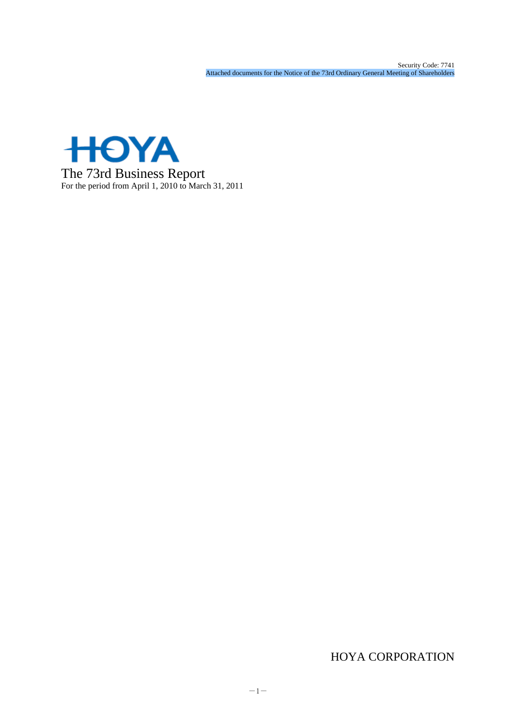

# HOYA CORPORATION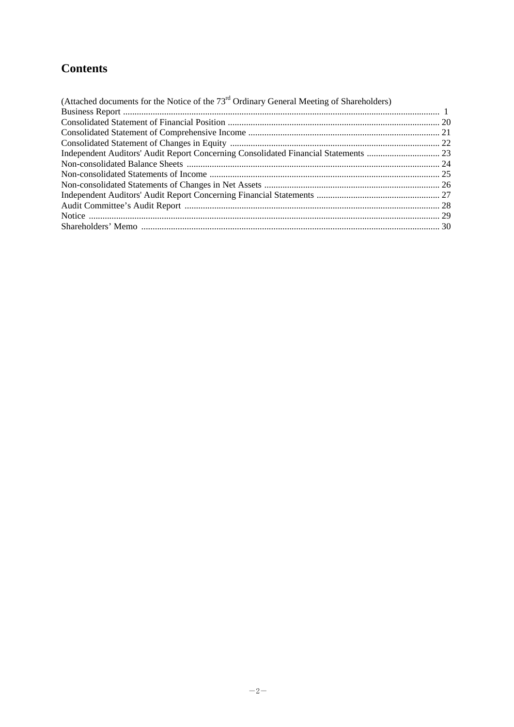# **Contents**

| (Attached documents for the Notice of the $73rd$ Ordinary General Meeting of Shareholders) |  |
|--------------------------------------------------------------------------------------------|--|
|                                                                                            |  |
|                                                                                            |  |
|                                                                                            |  |
|                                                                                            |  |
|                                                                                            |  |
|                                                                                            |  |
|                                                                                            |  |
|                                                                                            |  |
|                                                                                            |  |
|                                                                                            |  |
|                                                                                            |  |
|                                                                                            |  |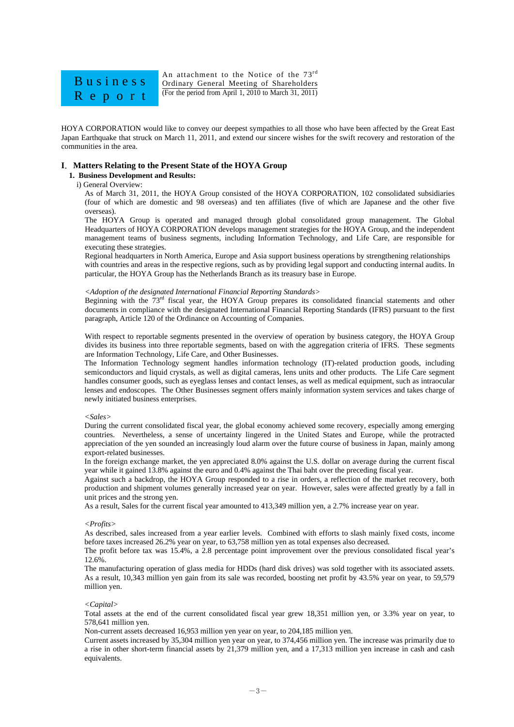

An attachment to the Notice of the 73rd Ordinary General Meeting of Shareholders (For the period from April 1, 2010 to March 31, 2011)

HOYA CORPORATION would like to convey our deepest sympathies to all those who have been affected by the Great East Japan Earthquake that struck on March 11, 2011, and extend our sincere wishes for the swift recovery and restoration of the communities in the area.

## **I**.**Matters Relating to the Present State of the HOYA Group**

I

## **1. Business Development and Results:**

## i) General Overview:

As of March 31, 2011, the HOYA Group consisted of the HOYA CORPORATION, 102 consolidated subsidiaries (four of which are domestic and 98 overseas) and ten affiliates (five of which are Japanese and the other five overseas).

The HOYA Group is operated and managed through global consolidated group management. The Global Headquarters of HOYA CORPORATION develops management strategies for the HOYA Group, and the independent management teams of business segments, including Information Technology, and Life Care, are responsible for executing these strategies.

Regional headquarters in North America, Europe and Asia support business operations by strengthening relationships with countries and areas in the respective regions, such as by providing legal support and conducting internal audits. In particular, the HOYA Group has the Netherlands Branch as its treasury base in Europe.

## *<Adoption of the designated International Financial Reporting Standards>*

Beginning with the  $73<sup>rd</sup>$  fiscal year, the HOYA Group prepares its consolidated financial statements and other documents in compliance with the designated International Financial Reporting Standards (IFRS) pursuant to the first paragraph, Article 120 of the Ordinance on Accounting of Companies.

With respect to reportable segments presented in the overview of operation by business category, the HOYA Group divides its business into three reportable segments, based on with the aggregation criteria of IFRS. These segments are Information Technology, Life Care, and Other Businesses.

The Information Technology segment handles information technology (IT)-related production goods, including semiconductors and liquid crystals, as well as digital cameras, lens units and other products. The Life Care segment handles consumer goods, such as eyeglass lenses and contact lenses, as well as medical equipment, such as intraocular lenses and endoscopes. The Other Businesses segment offers mainly information system services and takes charge of newly initiated business enterprises.

#### *<Sales>*

During the current consolidated fiscal year, the global economy achieved some recovery, especially among emerging countries. Nevertheless, a sense of uncertainty lingered in the United States and Europe, while the protracted appreciation of the yen sounded an increasingly loud alarm over the future course of business in Japan, mainly among export-related businesses.

In the foreign exchange market, the yen appreciated 8.0% against the U.S. dollar on average during the current fiscal year while it gained 13.8% against the euro and 0.4% against the Thai baht over the preceding fiscal year.

Against such a backdrop, the HOYA Group responded to a rise in orders, a reflection of the market recovery, both production and shipment volumes generally increased year on year. However, sales were affected greatly by a fall in unit prices and the strong yen.

As a result, Sales for the current fiscal year amounted to 413,349 million yen, a 2.7% increase year on year.

#### *<Profits>*

As described, sales increased from a year earlier levels. Combined with efforts to slash mainly fixed costs, income before taxes increased 26.2% year on year, to 63,758 million yen as total expenses also decreased.

The profit before tax was 15.4%, a 2.8 percentage point improvement over the previous consolidated fiscal year's 12.6%.

The manufacturing operation of glass media for HDDs (hard disk drives) was sold together with its associated assets. As a result, 10,343 million yen gain from its sale was recorded, boosting net profit by 43.5% year on year, to 59,579 million yen.

#### *<Capital>*

Total assets at the end of the current consolidated fiscal year grew 18,351 million yen, or 3.3% year on year, to 578,641 million yen.

Non-current assets decreased 16,953 million yen year on year, to 204,185 million yen.

Current assets increased by 35,304 million yen year on year, to 374,456 million yen. The increase was primarily due to a rise in other short-term financial assets by 21,379 million yen, and a 17,313 million yen increase in cash and cash equivalents.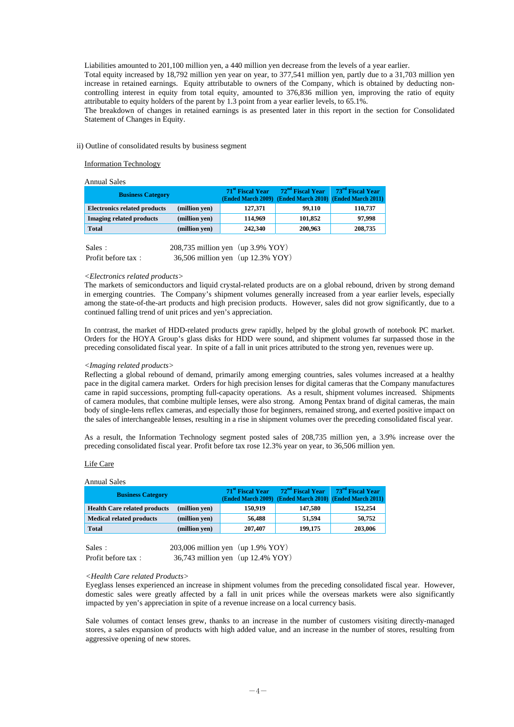Liabilities amounted to 201,100 million yen, a 440 million yen decrease from the levels of a year earlier.

Total equity increased by 18,792 million yen year on year, to 377,541 million yen, partly due to a 31,703 million yen increase in retained earnings. Equity attributable to owners of the Company, which is obtained by deducting noncontrolling interest in equity from total equity, amounted to 376,836 million yen, improving the ratio of equity attributable to equity holders of the parent by 1.3 point from a year earlier levels, to 65.1%.

The breakdown of changes in retained earnings is as presented later in this report in the section for Consolidated Statement of Changes in Equity.

## ii) Outline of consolidated results by business segment

Information Technology

Annual Sales

| <b>Business Category</b>                             | 71 <sup>st</sup> Fiscal Year | 72 <sup>nd</sup> Fiscal Year<br>(Ended March 2009) (Ended March 2010) (Ended March 2011) | 73 <sup>rd</sup> Fiscal Year |
|------------------------------------------------------|------------------------------|------------------------------------------------------------------------------------------|------------------------------|
| <b>Electronics related products</b><br>(million yen) | 127,371                      | 99.110                                                                                   | 110,737                      |
| <b>Imaging related products</b><br>(million yen)     | 114.969                      | 101,852                                                                                  | 97.998                       |
| <b>Total</b><br>(million ven)                        | 242,340                      | 200,963                                                                                  | 208,735                      |

| Sales:             | 208,735 million yen $(up 3.9\%$ YOY) |  |
|--------------------|--------------------------------------|--|
| Profit before tax: | 36,506 million yen (up 12.3% YOY)    |  |

#### *<Electronics related products>*

The markets of semiconductors and liquid crystal-related products are on a global rebound, driven by strong demand in emerging countries. The Company's shipment volumes generally increased from a year earlier levels, especially among the state-of-the-art products and high precision products. However, sales did not grow significantly, due to a continued falling trend of unit prices and yen's appreciation.

In contrast, the market of HDD-related products grew rapidly, helped by the global growth of notebook PC market. Orders for the HOYA Group's glass disks for HDD were sound, and shipment volumes far surpassed those in the preceding consolidated fiscal year. In spite of a fall in unit prices attributed to the strong yen, revenues were up.

#### *<Imaging related products>*

Reflecting a global rebound of demand, primarily among emerging countries, sales volumes increased at a healthy pace in the digital camera market. Orders for high precision lenses for digital cameras that the Company manufactures came in rapid successions, prompting full-capacity operations. As a result, shipment volumes increased. Shipments of camera modules, that combine multiple lenses, were also strong. Among Pentax brand of digital cameras, the main body of single-lens reflex cameras, and especially those for beginners, remained strong, and exerted positive impact on the sales of interchangeable lenses, resulting in a rise in shipment volumes over the preceding consolidated fiscal year.

As a result, the Information Technology segment posted sales of 208,735 million yen, a 3.9% increase over the preceding consolidated fiscal year. Profit before tax rose 12.3% year on year, to 36,506 million yen.

#### Life Care

#### Annual Sales

| <b>Business Category</b>            |               | 71 <sup>st</sup> Fiscal Year | 72 <sup>nd</sup> Fiscal Year | 73 <sup>rd</sup> Fiscal Year<br>(Ended March 2009) (Ended March 2010) (Ended March 2011) |
|-------------------------------------|---------------|------------------------------|------------------------------|------------------------------------------------------------------------------------------|
| <b>Health Care related products</b> | (million yen) | 150,919                      | 147.580                      | 152,254                                                                                  |
| <b>Medical related products</b>     | (million yen) | 56,488                       | 51.594                       | 50,752                                                                                   |
| <b>Total</b>                        | (million yen) | 207.407                      | 199,175                      | 203,006                                                                                  |

 $Sales: 203,006 million yen (up 1.9% YOY)$ Profit before tax: 36,743 million yen (up 12.4% YOY)

#### *<Health Care related Products>*

Eyeglass lenses experienced an increase in shipment volumes from the preceding consolidated fiscal year. However, domestic sales were greatly affected by a fall in unit prices while the overseas markets were also significantly impacted by yen's appreciation in spite of a revenue increase on a local currency basis.

Sale volumes of contact lenses grew, thanks to an increase in the number of customers visiting directly-managed stores, a sales expansion of products with high added value, and an increase in the number of stores, resulting from aggressive opening of new stores.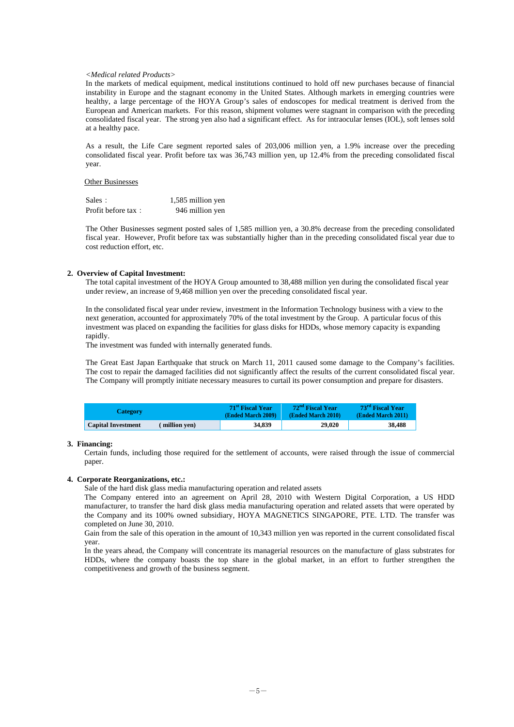## *<Medical related Products>*

In the markets of medical equipment, medical institutions continued to hold off new purchases because of financial instability in Europe and the stagnant economy in the United States. Although markets in emerging countries were healthy, a large percentage of the HOYA Group's sales of endoscopes for medical treatment is derived from the European and American markets. For this reason, shipment volumes were stagnant in comparison with the preceding consolidated fiscal year. The strong yen also had a significant effect. As for intraocular lenses (IOL), soft lenses sold at a healthy pace.

As a result, the Life Care segment reported sales of 203,006 million yen, a 1.9% increase over the preceding consolidated fiscal year. Profit before tax was 36,743 million yen, up 12.4% from the preceding consolidated fiscal year.

#### Other Businesses

| Sales:             | 1,585 million yen |
|--------------------|-------------------|
| Profit before tax: | 946 million yen   |

The Other Businesses segment posted sales of 1,585 million yen, a 30.8% decrease from the preceding consolidated fiscal year. However, Profit before tax was substantially higher than in the preceding consolidated fiscal year due to cost reduction effort, etc.

## **2. Overview of Capital Investment:**

The total capital investment of the HOYA Group amounted to 38,488 million yen during the consolidated fiscal year under review, an increase of 9,468 million yen over the preceding consolidated fiscal year.

In the consolidated fiscal year under review, investment in the Information Technology business with a view to the next generation, accounted for approximately 70% of the total investment by the Group. A particular focus of this investment was placed on expanding the facilities for glass disks for HDDs, whose memory capacity is expanding rapidly.

The investment was funded with internally generated funds.

The Great East Japan Earthquake that struck on March 11, 2011 caused some damage to the Company's facilities. The cost to repair the damaged facilities did not significantly affect the results of the current consolidated fiscal year. The Company will promptly initiate necessary measures to curtail its power consumption and prepare for disasters.

| <b>Category</b>           |              | 71 <sup>st</sup> Fiscal Year<br>(Ended March 2009) | 72 <sup>nd</sup> Fiscal Year<br>(Ended March 2010) | 73 <sup>rd</sup> Fiscal Year<br>(Ended March 2011) |
|---------------------------|--------------|----------------------------------------------------|----------------------------------------------------|----------------------------------------------------|
| <b>Capital Investment</b> | million ven) | 34,839                                             | 29,020                                             | 38.488                                             |

## **3. Financing:**

Certain funds, including those required for the settlement of accounts, were raised through the issue of commercial paper.

## **4. Corporate Reorganizations, etc.:**

Sale of the hard disk glass media manufacturing operation and related assets

The Company entered into an agreement on April 28, 2010 with Western Digital Corporation, a US HDD manufacturer, to transfer the hard disk glass media manufacturing operation and related assets that were operated by the Company and its 100% owned subsidiary, HOYA MAGNETICS SINGAPORE, PTE. LTD. The transfer was completed on June 30, 2010.

Gain from the sale of this operation in the amount of 10,343 million yen was reported in the current consolidated fiscal year.

In the years ahead, the Company will concentrate its managerial resources on the manufacture of glass substrates for HDDs, where the company boasts the top share in the global market, in an effort to further strengthen the competitiveness and growth of the business segment.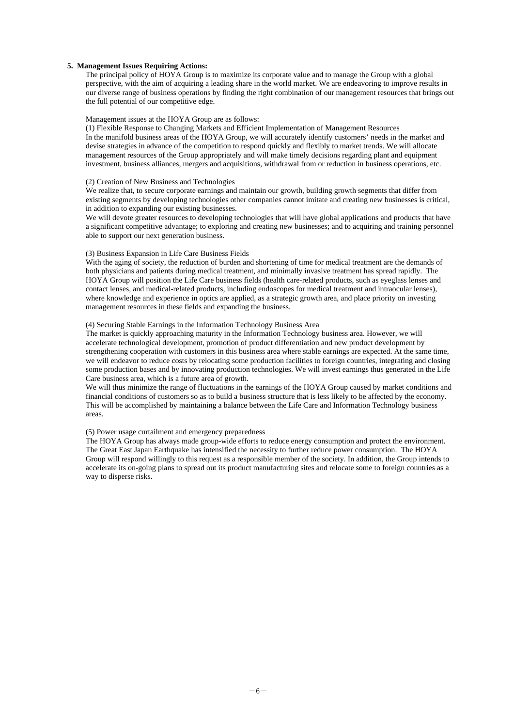## **5. Management Issues Requiring Actions:**

The principal policy of HOYA Group is to maximize its corporate value and to manage the Group with a global perspective, with the aim of acquiring a leading share in the world market. We are endeavoring to improve results in our diverse range of business operations by finding the right combination of our management resources that brings out the full potential of our competitive edge.

## Management issues at the HOYA Group are as follows:

(1) Flexible Response to Changing Markets and Efficient Implementation of Management Resources In the manifold business areas of the HOYA Group, we will accurately identify customers' needs in the market and devise strategies in advance of the competition to respond quickly and flexibly to market trends. We will allocate management resources of the Group appropriately and will make timely decisions regarding plant and equipment investment, business alliances, mergers and acquisitions, withdrawal from or reduction in business operations, etc.

## (2) Creation of New Business and Technologies

We realize that, to secure corporate earnings and maintain our growth, building growth segments that differ from existing segments by developing technologies other companies cannot imitate and creating new businesses is critical, in addition to expanding our existing businesses.

We will devote greater resources to developing technologies that will have global applications and products that have a significant competitive advantage; to exploring and creating new businesses; and to acquiring and training personnel able to support our next generation business.

#### (3) Business Expansion in Life Care Business Fields

With the aging of society, the reduction of burden and shortening of time for medical treatment are the demands of both physicians and patients during medical treatment, and minimally invasive treatment has spread rapidly. The HOYA Group will position the Life Care business fields (health care-related products, such as eyeglass lenses and contact lenses, and medical-related products, including endoscopes for medical treatment and intraocular lenses), where knowledge and experience in optics are applied, as a strategic growth area, and place priority on investing management resources in these fields and expanding the business.

### (4) Securing Stable Earnings in the Information Technology Business Area

The market is quickly approaching maturity in the Information Technology business area. However, we will accelerate technological development, promotion of product differentiation and new product development by strengthening cooperation with customers in this business area where stable earnings are expected. At the same time, we will endeavor to reduce costs by relocating some production facilities to foreign countries, integrating and closing some production bases and by innovating production technologies. We will invest earnings thus generated in the Life Care business area, which is a future area of growth.

We will thus minimize the range of fluctuations in the earnings of the HOYA Group caused by market conditions and financial conditions of customers so as to build a business structure that is less likely to be affected by the economy. This will be accomplished by maintaining a balance between the Life Care and Information Technology business areas.

## (5) Power usage curtailment and emergency preparedness

The HOYA Group has always made group-wide efforts to reduce energy consumption and protect the environment. The Great East Japan Earthquake has intensified the necessity to further reduce power consumption. The HOYA Group will respond willingly to this request as a responsible member of the society. In addition, the Group intends to accelerate its on-going plans to spread out its product manufacturing sites and relocate some to foreign countries as a way to disperse risks.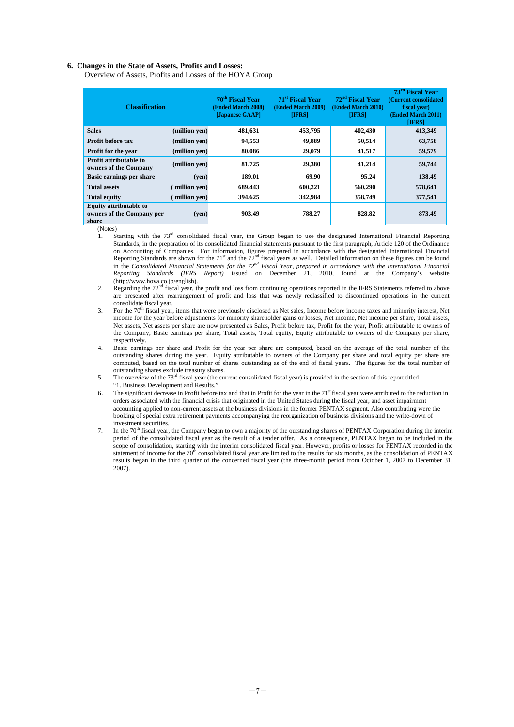#### **6. Changes in the State of Assets, Profits and Losses:**

Overview of Assets, Profits and Losses of the HOYA Group

| <b>Classification</b>                                               |               | 70 <sup>th</sup> Fiscal Year<br>(Ended March 2008)<br>[Japanese GAAP] | 71 <sup>st</sup> Fiscal Year<br>(Ended March 2009)<br><b>IIFRS1</b> | 72 <sup>nd</sup> Fiscal Year<br>(Ended March 2010)<br><b>IIFRSI</b> | 73 <sup>rd</sup> Fiscal Year<br>(Current consolidated)<br>fiscal year)<br>(Ended March 2011)<br><b>IIFRS1</b> |
|---------------------------------------------------------------------|---------------|-----------------------------------------------------------------------|---------------------------------------------------------------------|---------------------------------------------------------------------|---------------------------------------------------------------------------------------------------------------|
| <b>Sales</b>                                                        | (million yen) | 481,631                                                               | 453,795                                                             | 402,430                                                             | 413,349                                                                                                       |
| <b>Profit before tax</b>                                            | (million yen) | 94,553                                                                | 49,889                                                              | 50,514                                                              | 63,758                                                                                                        |
| <b>Profit for the year</b>                                          | (million yen) | 80,086                                                                | 29,079                                                              | 41,517                                                              | 59,579                                                                                                        |
| <b>Profit attributable to</b><br>owners of the Company              | (million yen) | 81,725                                                                | 29,380                                                              | 41,214                                                              | 59,744                                                                                                        |
| <b>Basic earnings per share</b>                                     | (ven)         | 189.01                                                                | 69.90                                                               | 95.24                                                               | 138.49                                                                                                        |
| <b>Total assets</b>                                                 | million yen)  | 689,443                                                               | 600,221                                                             | 560,290                                                             | 578,641                                                                                                       |
| <b>Total equity</b>                                                 | million yen)  | 394,625                                                               | 342,984                                                             | 358,749                                                             | 377,541                                                                                                       |
| <b>Equity attributable to</b><br>owners of the Company per<br>share | (ven)         | 903.49                                                                | 788.27                                                              | 828.82                                                              | 873.49                                                                                                        |

(Notes)

- 1. Starting with the 73<sup>rd</sup> consolidated fiscal year, the Group began to use the designated International Financial Reporting Standards, in the preparation of its consolidated financial statements pursuant to the first paragraph, Article 120 of the Ordinance on Accounting of Companies. For information, figures prepared in accordance with the designated International Financial Reporting Standards are shown for the 71<sup>st</sup> and the  $72<sup>nd</sup>$  fiscal years as well. Detailed information on these figures can be found in the *Consolidated Financial Statements for the 72nd Fiscal Year, prepared in accordance with the International Financial Reporting Standards (IFRS Report)* issued on December 21, 2010, found at the Company's website (http://www.hoya.co.jp/english).
- 2. Regarding the 72<sup>nd</sup> fiscal year, the profit and loss from continuing operations reported in the IFRS Statements referred to above are presented after rearrangement of profit and loss that was newly reclassified to discontinued operations in the current consolidate fiscal year.
- 3. For the  $70<sup>th</sup>$  fiscal year, items that were previously disclosed as Net sales. Income before income taxes and minority interest. Net income for the year before adjustments for minority shareholder gains or losses, Net income, Net income per share, Total assets, Net assets, Net assets per share are now presented as Sales, Profit before tax, Profit for the year, Profit attributable to owners of the Company, Basic earnings per share, Total assets, Total equity, Equity attributable to owners of the Company per share, respectively
- 4. Basic earnings per share and Profit for the year per share are computed, based on the average of the total number of the outstanding shares during the year. Equity attributable to owners of the Company per share and total equity per share are computed, based on the total number of shares outstanding as of the end of fiscal years. The figures for the total number of outstanding shares exclude treasury shares.
- 5. The overview of the 73<sup>rd</sup> fiscal year (the current consolidated fiscal year) is provided in the section of this report titled "1. Business Development and Results."
- 6. The significant decrease in Profit before tax and that in Profit for the year in the  $71<sup>st</sup>$  fiscal year were attributed to the reduction in orders associated with the financial crisis that originated in the United States during the fiscal year, and asset impairment accounting applied to non-current assets at the business divisions in the former PENTAX segment. Also contributing were the booking of special extra retirement payments accompanying the reorganization of business divisions and the write-down of investment securities.
- 7. In the  $70<sup>th</sup>$  fiscal year, the Company began to own a majority of the outstanding shares of PENTAX Corporation during the interim period of the consolidated fiscal year as the result of a tender offer. As a consequence, PENTAX began to be included in the scope of consolidation, starting with the interim consolidated fiscal year. However, profits or losses for PENTAX recorded in the statement of income for the 70<sup>th</sup> consolidated fiscal year are limited to the results for six months, as the consolidation of PENTAX results began in the third quarter of the concerned fiscal year (the three-month period from October 1, 2007 to December 31, 2007).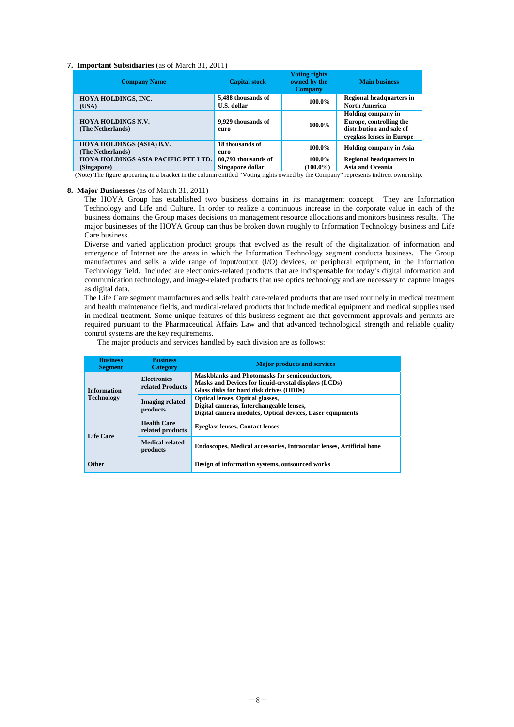## **7. Important Subsidiaries** (as of March 31, 2011)

| <b>Company Name</b>                                | <b>Capital stock</b>                    | <b>Voting rights</b><br>owned by the<br><b>Company</b> | <b>Main business</b>                                                                                          |
|----------------------------------------------------|-----------------------------------------|--------------------------------------------------------|---------------------------------------------------------------------------------------------------------------|
| HOYA HOLDINGS, INC.<br>(USA)                       | 5,488 thousands of<br>U.S. dollar       | 100.0%                                                 | <b>Regional headquarters in</b><br><b>North America</b>                                                       |
| <b>HOYA HOLDINGS N.V.</b><br>(The Netherlands)     | 9.929 thousands of<br>euro              | 100.0%                                                 | <b>Holding company in</b><br>Europe, controlling the<br>distribution and sale of<br>eveglass lenses in Europe |
| HOYA HOLDINGS (ASIA) B.V.<br>(The Netherlands)     | 18 thousands of<br>euro                 | 100.0%                                                 | <b>Holding company in Asia</b>                                                                                |
| HOYA HOLDINGS ASIA PACIFIC PTE LTD.<br>(Singapore) | 80,793 thousands of<br>Singapore dollar | 100.0%<br>$(100.0\%)$                                  | <b>Regional headquarters in</b><br><b>Asia and Oceania</b>                                                    |

(Note) The figure appearing in a bracket in the column entitled "Voting rights owned by the Company" represents indirect ownership.

#### **8. Major Businesses** (as of March 31, 2011)

The HOYA Group has established two business domains in its management concept. They are Information Technology and Life and Culture. In order to realize a continuous increase in the corporate value in each of the business domains, the Group makes decisions on management resource allocations and monitors business results. The major businesses of the HOYA Group can thus be broken down roughly to Information Technology business and Life Care business.

Diverse and varied application product groups that evolved as the result of the digitalization of information and emergence of Internet are the areas in which the Information Technology segment conducts business. The Group manufactures and sells a wide range of input/output (I/O) devices, or peripheral equipment, in the Information Technology field. Included are electronics-related products that are indispensable for today's digital information and communication technology, and image-related products that use optics technology and are necessary to capture images as digital data.

The Life Care segment manufactures and sells health care-related products that are used routinely in medical treatment and health maintenance fields, and medical-related products that include medical equipment and medical supplies used in medical treatment. Some unique features of this business segment are that government approvals and permits are required pursuant to the Pharmaceutical Affairs Law and that advanced technological strength and reliable quality control systems are the key requirements.

The major products and services handled by each division are as follows:

| <b>Business</b><br><b>Segment</b>                            | <b>Business</b><br><b>Category</b>     | <b>Major products and services</b>                                                                                                                      |
|--------------------------------------------------------------|----------------------------------------|---------------------------------------------------------------------------------------------------------------------------------------------------------|
| <b>Electronics</b><br>related Products<br><b>Information</b> |                                        | <b>Maskblanks and Photomasks for semiconductors,</b><br>Masks and Devices for liquid-crystal displays (LCDs)<br>Glass disks for hard disk drives (HDDs) |
| <b>Technology</b>                                            | <b>Imaging related</b><br>products     | <b>Optical lenses, Optical glasses,</b><br>Digital cameras, Interchangeable lenses,<br>Digital camera modules, Optical devices, Laser equipments        |
| <b>Life Care</b>                                             | <b>Health Care</b><br>related products | <b>Eveglass lenses, Contact lenses</b>                                                                                                                  |
|                                                              | <b>Medical related</b><br>products     | Endoscopes, Medical accessories, Intraocular lenses, Artificial bone                                                                                    |
| <b>Other</b>                                                 |                                        | Design of information systems, outsourced works                                                                                                         |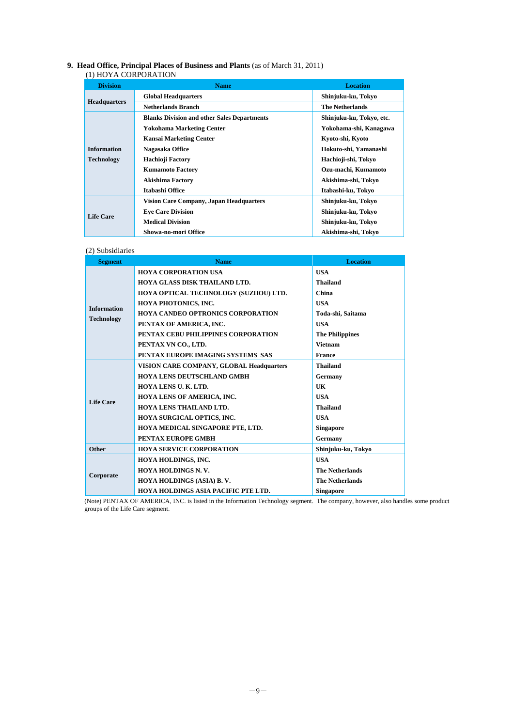## **9. Head Office, Principal Places of Business and Plants** (as of March 31, 2011)

#### (1) HOYA CORPORATION

| <b>Division</b>     | <b>Name</b>                                        | <b>Location</b>          |
|---------------------|----------------------------------------------------|--------------------------|
|                     | <b>Global Headquarters</b>                         | Shinjuku-ku, Tokyo       |
| <b>Headquarters</b> | <b>Netherlands Branch</b>                          | <b>The Netherlands</b>   |
|                     | <b>Blanks Division and other Sales Departments</b> | Shinjuku-ku, Tokyo, etc. |
|                     | <b>Yokohama Marketing Center</b>                   | Yokohama-shi, Kanagawa   |
|                     | <b>Kansai Marketing Center</b>                     | Kyoto-shi, Kyoto         |
| <b>Information</b>  | Nagasaka Office                                    | Hokuto-shi, Yamanashi    |
| <b>Technology</b>   | Hachioji Factory                                   | Hachioji-shi, Tokyo      |
|                     | <b>Kumamoto Factory</b>                            | Ozu-machi, Kumamoto      |
|                     | <b>Akishima Factory</b>                            | Akishima-shi, Tokyo      |
|                     | Itabashi Office                                    | Itabashi-ku, Tokyo       |
|                     | Vision Care Company, Japan Headquarters            | Shinjuku-ku, Tokyo       |
|                     | <b>Eve Care Division</b>                           | Shinjuku-ku, Tokyo       |
| <b>Life Care</b>    | <b>Medical Division</b>                            | Shinjuku-ku, Tokyo       |
|                     | Showa-no-mori Office                               | Akishima-shi, Tokvo      |

## (2) Subsidiaries

| <b>Segment</b>     | <b>Name</b>                                     | <b>Location</b>        |
|--------------------|-------------------------------------------------|------------------------|
|                    | <b>HOYA CORPORATION USA</b>                     | <b>USA</b>             |
|                    | HOYA GLASS DISK THAILAND LTD.                   | <b>Thailand</b>        |
|                    | HOYA OPTICAL TECHNOLOGY (SUZHOU) LTD.           | China                  |
| <b>Information</b> | HOYA PHOTONICS, INC.                            | <b>USA</b>             |
|                    | <b>HOYA CANDEO OPTRONICS CORPORATION</b>        | Toda-shi, Saitama      |
| <b>Technology</b>  | PENTAX OF AMERICA, INC.                         | <b>USA</b>             |
|                    | PENTAX CEBU PHILIPPINES CORPORATION             | <b>The Philippines</b> |
|                    | PENTAX VN CO., LTD.                             | <b>Vietnam</b>         |
|                    | PENTAX EUROPE IMAGING SYSTEMS SAS               | <b>France</b>          |
|                    | <b>VISION CARE COMPANY, GLOBAL Headquarters</b> | <b>Thailand</b>        |
|                    | <b>HOYA LENS DEUTSCHLAND GMBH</b>               | Germany                |
|                    | HOYA LENS U. K. LTD.                            | UK                     |
| Life Care          | <b>HOYA LENS OF AMERICA, INC.</b>               | <b>USA</b>             |
|                    | <b>HOYA LENS THAILAND LTD.</b>                  | <b>Thailand</b>        |
|                    | HOYA SURGICAL OPTICS, INC.                      | <b>USA</b>             |
|                    | HOYA MEDICAL SINGAPORE PTE, LTD.                | <b>Singapore</b>       |
|                    | PENTAX EUROPE GMBH                              | Germany                |
| <b>Other</b>       | <b>HOYA SERVICE CORPORATION</b>                 | Shinjuku-ku, Tokyo     |
|                    | HOYA HOLDINGS, INC.                             | <b>USA</b>             |
|                    | HOYA HOLDINGS N.V.                              | <b>The Netherlands</b> |
| Corporate          | HOYA HOLDINGS (ASIA) B.V.                       | <b>The Netherlands</b> |
|                    | HOYA HOLDINGS ASIA PACIFIC PTE LTD.             | <b>Singapore</b>       |

(Note) PENTAX OF AMERICA, INC. is listed in the Information Technology segment. The company, however, also handles some product groups of the Life Care segment.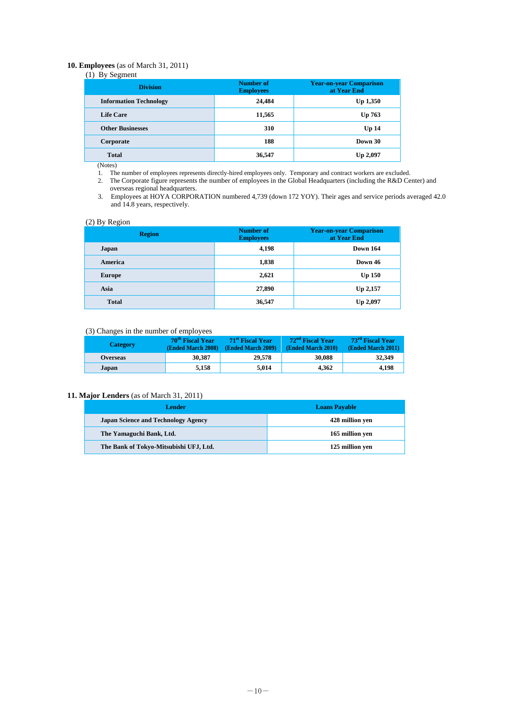## **10. Employees** (as of March 31, 2011)

## $(1)$  By Segment

| .<br>$\tilde{\phantom{a}}$<br><b>Division</b> | <b>Number of</b><br><b>Employees</b> | <b>Year-on-year Comparison</b><br>at Year End |
|-----------------------------------------------|--------------------------------------|-----------------------------------------------|
| <b>Information Technology</b>                 | 24,484                               | <b>Up 1,350</b>                               |
| <b>Life Care</b>                              | 11,565                               | Up 763                                        |
| <b>Other Businesses</b>                       | 310                                  | Up <sub>14</sub>                              |
| Corporate                                     | 188                                  | Down 30                                       |
| <b>Total</b>                                  | 36,547                               | <b>Up 2,097</b>                               |

(Notes)

1. The number of employees represents directly-hired employees only. Temporary and contract workers are excluded.

2. The Corporate figure represents the number of employees in the Global Headquarters (including the R&D Center) and overseas regional headquarters.

3. Employees at HOYA CORPORATION numbered 4,739 (down 172 YOY). Their ages and service periods averaged 42.0 and 14.8 years, respectively.

## (2) By Region

| $\sim$ $\sim$<br><u>.</u><br>ັ<br><b>Region</b> | <b>Number of</b><br><b>Employees</b> | <b>Year-on-year Comparison</b><br>at Year End |
|-------------------------------------------------|--------------------------------------|-----------------------------------------------|
| Japan                                           | 4,198                                | <b>Down 164</b>                               |
| America                                         | 1,838                                | Down 46                                       |
| <b>Europe</b>                                   | 2,621                                | $Up$ 150                                      |
| Asia                                            | 27,890                               | Up 2,157                                      |
| <b>Total</b>                                    | 36,547                               | Up 2,097                                      |

## (3) Changes in the number of employees

| <b>Category</b> | 70 <sup>th</sup> Fiscal Year<br>(Ended March 2008) | 71 <sup>st</sup> Fiscal Year<br>(Ended March 2009) | 72 <sup>nd</sup> Fiscal Year<br><b>(Ended March 2010)</b> | 73 <sup>rd</sup> Fiscal Year<br>(Ended March 2011) |
|-----------------|----------------------------------------------------|----------------------------------------------------|-----------------------------------------------------------|----------------------------------------------------|
| <b>Overseas</b> | 30,387                                             | 29,578                                             | 30,088                                                    | 32,349                                             |
| Japan           | 5.158                                              | 5.014                                              | 4.362                                                     | 4.198                                              |

## **11. Major Lenders** (as of March 31, 2011)

| Lender                                     | <b>Loans Payable</b> |
|--------------------------------------------|----------------------|
| <b>Japan Science and Technology Agency</b> | 428 million ven      |
| The Yamaguchi Bank, Ltd.                   | 165 million yen      |
| The Bank of Tokyo-Mitsubishi UFJ, Ltd.     | 125 million ven      |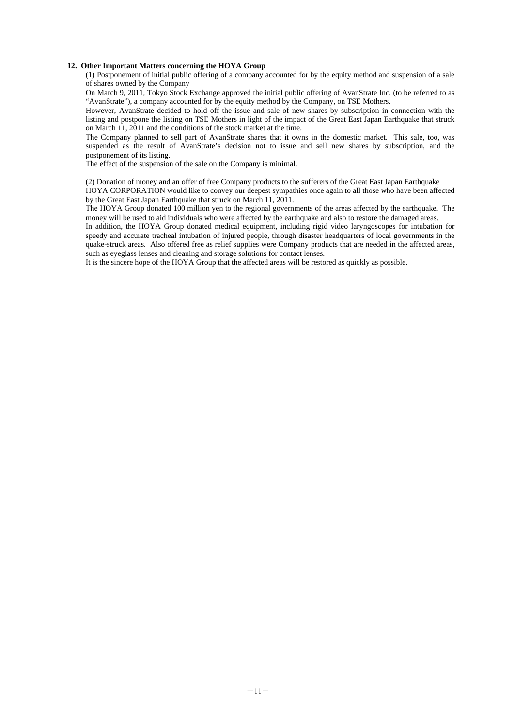## **12. Other Important Matters concerning the HOYA Group**

(1) Postponement of initial public offering of a company accounted for by the equity method and suspension of a sale of shares owned by the Company

On March 9, 2011, Tokyo Stock Exchange approved the initial public offering of AvanStrate Inc. (to be referred to as "AvanStrate"), a company accounted for by the equity method by the Company, on TSE Mothers.

However, AvanStrate decided to hold off the issue and sale of new shares by subscription in connection with the listing and postpone the listing on TSE Mothers in light of the impact of the Great East Japan Earthquake that struck on March 11, 2011 and the conditions of the stock market at the time.

The Company planned to sell part of AvanStrate shares that it owns in the domestic market. This sale, too, was suspended as the result of AvanStrate's decision not to issue and sell new shares by subscription, and the postponement of its listing.

The effect of the suspension of the sale on the Company is minimal.

(2) Donation of money and an offer of free Company products to the sufferers of the Great East Japan Earthquake

HOYA CORPORATION would like to convey our deepest sympathies once again to all those who have been affected by the Great East Japan Earthquake that struck on March 11, 2011.

The HOYA Group donated 100 million yen to the regional governments of the areas affected by the earthquake. The money will be used to aid individuals who were affected by the earthquake and also to restore the damaged areas.

In addition, the HOYA Group donated medical equipment, including rigid video laryngoscopes for intubation for speedy and accurate tracheal intubation of injured people, through disaster headquarters of local governments in the quake-struck areas. Also offered free as relief supplies were Company products that are needed in the affected areas, such as eyeglass lenses and cleaning and storage solutions for contact lenses.

It is the sincere hope of the HOYA Group that the affected areas will be restored as quickly as possible.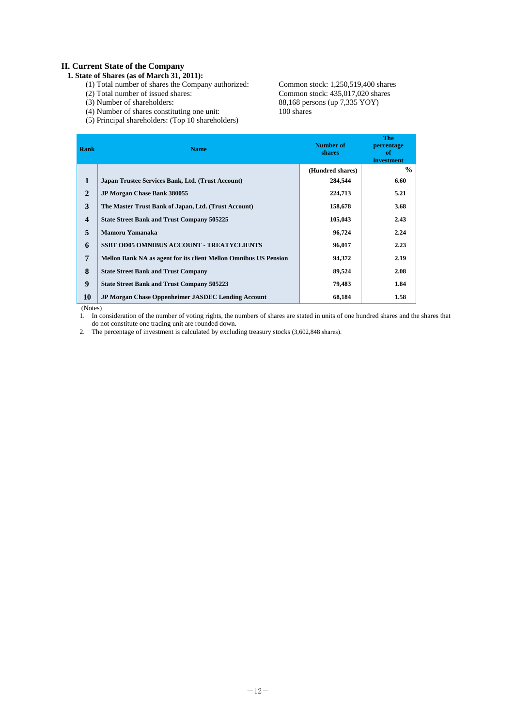## **II. Current State of the Company**

## **1. State of Shares (as of March 31, 2011):**

- 
- 
- 
- $(4)$  Number of shares constituting one unit: (5) Principal shareholders: (Top 10 shareholders)

(1) Total number of shares the Company authorized: Common stock: 1,250,519,400 shares (2) Total number of issued shares: Common stock: 435,017,020 shares (2) Total number of issued shares: Common stock: 435,017,020 shares<br>
(3) Number of shareholders: 88,168 persons (up 7,335 YOY) 88,168 persons (up 7,335 YOY)<br>100 shares

| Rank                    | <b>Name</b>                                                             | Number of<br><b>shares</b> | <b>The</b><br>percentage<br>-of<br>investment |
|-------------------------|-------------------------------------------------------------------------|----------------------------|-----------------------------------------------|
|                         |                                                                         | (Hundred shares)           | $\frac{0}{0}$                                 |
| $\mathbf{1}$            | Japan Trustee Services Bank, Ltd. (Trust Account)                       | 284,544                    | 6.60                                          |
| $\mathbf{2}$            | <b>JP Morgan Chase Bank 380055</b>                                      | 224,713                    | 5.21                                          |
| 3                       | The Master Trust Bank of Japan, Ltd. (Trust Account)                    | 158,678                    | 3.68                                          |
| $\overline{\mathbf{4}}$ | <b>State Street Bank and Trust Company 505225</b>                       | 105,043                    | 2.43                                          |
| 5                       | Mamoru Yamanaka                                                         | 96,724                     | 2.24                                          |
| 6                       | <b>SSBT OD05 OMNIBUS ACCOUNT - TREATYCLIENTS</b>                        | 96,017                     | 2.23                                          |
| 7                       | <b>Mellon Bank NA as agent for its client Mellon Omnibus US Pension</b> | 94,372                     | 2.19                                          |
| 8                       | <b>State Street Bank and Trust Company</b>                              | 89,524                     | 2.08                                          |
| 9                       | <b>State Street Bank and Trust Company 505223</b>                       | 79,483                     | 1.84                                          |
| 10                      | <b>JP Morgan Chase Oppenheimer JASDEC Lending Account</b>               | 68,184                     | 1.58                                          |

(Notes)

1. In consideration of the number of voting rights, the numbers of shares are stated in units of one hundred shares and the shares that do not constitute one trading unit are rounded down.

2. The percentage of investment is calculated by excluding treasury stocks (3,602,848 shares).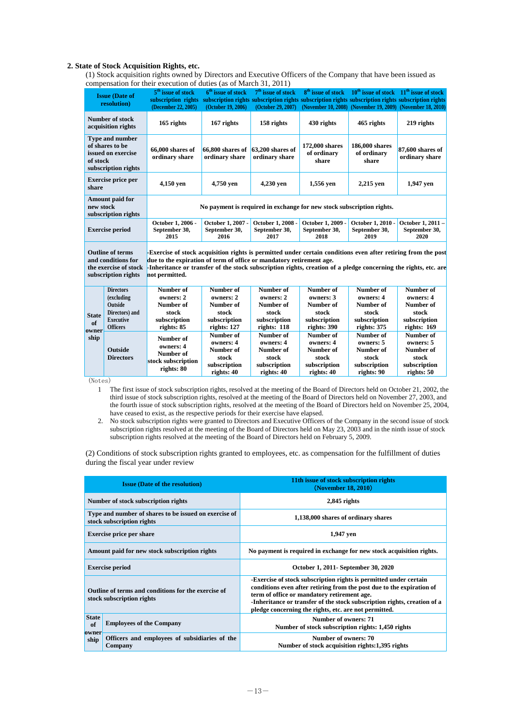## **2. State of Stock Acquisition Rights, etc.**

(1) Stock acquisition rights owned by Directors and Executive Officers of the Company that have been issued as compensation for their execution of duties (as of March 31, 2011)

|               | <b>Issue (Date of</b><br>resolution)                                                          | 5 <sup>th</sup> issue of stock<br>subscription rights<br>(December 22, 2005)                                                                                                                                                                                                                                               | 6 <sup>th</sup> issue of stock<br>(October 19, 2006) | 7 <sup>th</sup> issue of stock<br>subscription rights subscription rights subscription rights subscription rights subscription rights<br>(October 29, 2007) |                                        | $8th$ issue of stock $10th$ issue of stock $11th$ issue of stock<br>(November 10, 2008) (November 19, 2009) (November 18, 2010) |                                    |
|---------------|-----------------------------------------------------------------------------------------------|----------------------------------------------------------------------------------------------------------------------------------------------------------------------------------------------------------------------------------------------------------------------------------------------------------------------------|------------------------------------------------------|-------------------------------------------------------------------------------------------------------------------------------------------------------------|----------------------------------------|---------------------------------------------------------------------------------------------------------------------------------|------------------------------------|
|               | Number of stock<br>acquisition rights                                                         | 165 rights                                                                                                                                                                                                                                                                                                                 | 167 rights                                           | 158 rights                                                                                                                                                  | 430 rights                             | 465 rights                                                                                                                      | 219 rights                         |
| of stock      | Type and number<br>of shares to be<br>issued on exercise<br>subscription rights               | 66,000 shares of<br>ordinary share                                                                                                                                                                                                                                                                                         | $66,800$ shares of<br>ordinary share                 | $63,200$ shares of<br>ordinary share                                                                                                                        | 172,000 shares<br>of ordinary<br>share | 186,000 shares<br>of ordinary<br>share                                                                                          | 87,600 shares of<br>ordinary share |
| share         | <b>Exercise price per</b>                                                                     | 4,150 yen                                                                                                                                                                                                                                                                                                                  | 4,750 yen                                            | 4,230 yen                                                                                                                                                   | 1,556 yen                              | 2,215 yen                                                                                                                       | 1,947 yen                          |
| new stock     | Amount paid for<br>subscription rights                                                        | No payment is required in exchange for new stock subscription rights.                                                                                                                                                                                                                                                      |                                                      |                                                                                                                                                             |                                        |                                                                                                                                 |                                    |
|               | <b>Exercise period</b>                                                                        | October 1, 2006 -<br>October 1, 2007 -<br>October 1, 2008 -<br>October 1, 2009 -<br>October 1, 2010 -<br>September 30,<br>September 30,<br>September 30,<br>September 30,<br>September 30,<br>2015<br>2020<br>2016<br>2017<br>2018<br>2019                                                                                 |                                                      |                                                                                                                                                             |                                        |                                                                                                                                 | October 1, 2011 -<br>September 30, |
|               | <b>Outline of terms</b><br>and conditions for<br>the exercise of stock<br>subscription rights | -Exercise of stock acquisition rights is permitted under certain conditions even after retiring from the post<br>due to the expiration of term of office or mandatory retirement age.<br>-Inheritance or transfer of the stock subscription rights, creation of a pledge concerning the rights, etc. are<br>not permitted. |                                                      |                                                                                                                                                             |                                        |                                                                                                                                 |                                    |
|               | <b>Directors</b>                                                                              | Number of                                                                                                                                                                                                                                                                                                                  | Number of                                            | Number of                                                                                                                                                   | Number of                              | Number of                                                                                                                       | Number of                          |
|               | (excluding                                                                                    | owners: 2                                                                                                                                                                                                                                                                                                                  | owners: 2                                            | owners: 2                                                                                                                                                   | owners: 3                              | owners: 4                                                                                                                       | owners: 4                          |
|               | <b>Outside</b>                                                                                | Number of                                                                                                                                                                                                                                                                                                                  | Number of                                            | Number of                                                                                                                                                   | Number of                              | Number of                                                                                                                       | Number of                          |
| <b>State</b>  | Directors) and<br><b>Executive</b>                                                            | stock<br>subscription                                                                                                                                                                                                                                                                                                      | stock<br>subscription                                | stock<br>subscription                                                                                                                                       | stock<br>subscription                  | stock<br>subscription                                                                                                           | stock<br>subscription              |
| of            | <b>Officers</b>                                                                               | rights: 85                                                                                                                                                                                                                                                                                                                 | rights: 127                                          | rights: 118                                                                                                                                                 | rights: 390                            | rights: 375                                                                                                                     | rights: 169                        |
| owner<br>ship |                                                                                               |                                                                                                                                                                                                                                                                                                                            | Number of                                            | Number of                                                                                                                                                   | Number of                              | Number of                                                                                                                       | Number of                          |
|               |                                                                                               | Number of<br>owners: 4                                                                                                                                                                                                                                                                                                     | owners: 4                                            | owners: 4                                                                                                                                                   | owners: 4                              | owners: 5                                                                                                                       | owners: 5                          |
|               | Outside                                                                                       | Number of                                                                                                                                                                                                                                                                                                                  | Number of                                            | Number of                                                                                                                                                   | Number of                              | Number of                                                                                                                       | Number of                          |
|               | <b>Directors</b>                                                                              | stock subscription                                                                                                                                                                                                                                                                                                         | stock                                                | stock                                                                                                                                                       | stock                                  | stock                                                                                                                           | stock                              |
|               |                                                                                               | rights: 80                                                                                                                                                                                                                                                                                                                 | subscription                                         | subscription                                                                                                                                                | subscription                           | subscription                                                                                                                    | subscription                       |
|               |                                                                                               |                                                                                                                                                                                                                                                                                                                            | rights: 40                                           | rights: 40                                                                                                                                                  | rights: 40                             | rights: 90                                                                                                                      | rights: 50                         |

(Notes)

- 1 The first issue of stock subscription rights, resolved at the meeting of the Board of Directors held on October 21, 2002, the third issue of stock subscription rights, resolved at the meeting of the Board of Directors held on November 27, 2003, and the fourth issue of stock subscription rights, resolved at the meeting of the Board of Directors held on November 25, 2004, have ceased to exist, as the respective periods for their exercise have elapsed.
- 2. No stock subscription rights were granted to Directors and Executive Officers of the Company in the second issue of stock subscription rights resolved at the meeting of the Board of Directors held on May 23, 2003 and in the ninth issue of stock subscription rights resolved at the meeting of the Board of Directors held on February 5, 2009.

(2) Conditions of stock subscription rights granted to employees, etc. as compensation for the fulfillment of duties during the fiscal year under review

|                                                                                    | <b>Issue (Date of the resolution)</b>                                            | 11th issue of stock subscription rights<br>(November 18, 2010)                                                                                                                                                                                                                                                                 |
|------------------------------------------------------------------------------------|----------------------------------------------------------------------------------|--------------------------------------------------------------------------------------------------------------------------------------------------------------------------------------------------------------------------------------------------------------------------------------------------------------------------------|
|                                                                                    | Number of stock subscription rights                                              | $2,845$ rights                                                                                                                                                                                                                                                                                                                 |
| Type and number of shares to be issued on exercise of<br>stock subscription rights |                                                                                  | 1,138,000 shares of ordinary shares                                                                                                                                                                                                                                                                                            |
|                                                                                    | <b>Exercise price per share</b>                                                  | 1,947 yen                                                                                                                                                                                                                                                                                                                      |
|                                                                                    | Amount paid for new stock subscription rights                                    | No payment is required in exchange for new stock acquisition rights.                                                                                                                                                                                                                                                           |
|                                                                                    | <b>Exercise period</b>                                                           | October 1, 2011- September 30, 2020                                                                                                                                                                                                                                                                                            |
|                                                                                    | Outline of terms and conditions for the exercise of<br>stock subscription rights | -Exercise of stock subscription rights is permitted under certain<br>conditions even after retiring from the post due to the expiration of<br>term of office or mandatory retirement age.<br>-Inheritance or transfer of the stock subscription rights, creation of a<br>pledge concerning the rights, etc. are not permitted. |
| <b>State</b><br>of<br>owner                                                        | <b>Employees of the Company</b>                                                  | Number of owners: 71<br>Number of stock subscription rights: 1,450 rights                                                                                                                                                                                                                                                      |
| ship                                                                               | Officers and employees of subsidiaries of the<br>Company                         | Number of owners: 70<br>Number of stock acquisition rights:1,395 rights                                                                                                                                                                                                                                                        |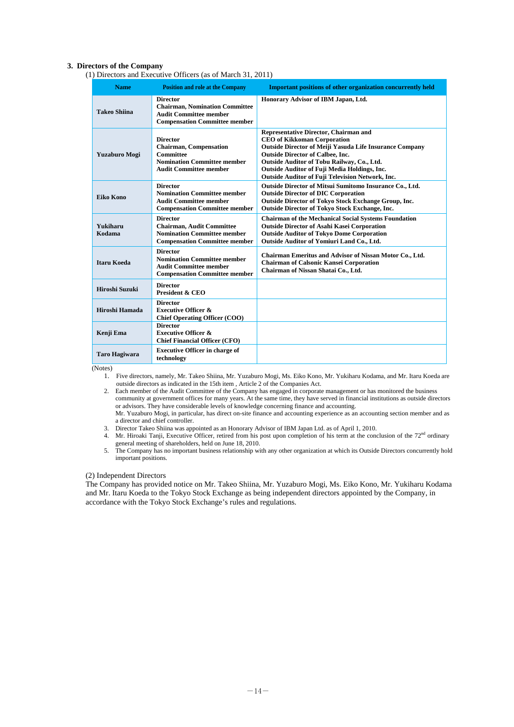## **3. Directors of the Company**

(1) Directors and Executive Officers (as of March 31, 2011)

| <b>Name</b>          | <b>Position and role at the Company</b>                                                                                                     | <b>Important positions of other organization concurrently held</b>                                                                                                                                                                                                                                                                         |
|----------------------|---------------------------------------------------------------------------------------------------------------------------------------------|--------------------------------------------------------------------------------------------------------------------------------------------------------------------------------------------------------------------------------------------------------------------------------------------------------------------------------------------|
| <b>Takeo Shiina</b>  | <b>Director</b><br><b>Chairman, Nomination Committee</b><br><b>Audit Committee member</b><br><b>Compensation Committee member</b>           | Honorary Advisor of IBM Japan, Ltd.                                                                                                                                                                                                                                                                                                        |
| Yuzaburo Mogi        | <b>Director</b><br><b>Chairman, Compensation</b><br><b>Committee</b><br><b>Nomination Committee member</b><br><b>Audit Committee member</b> | Representative Director, Chairman and<br><b>CEO of Kikkoman Corporation</b><br><b>Outside Director of Meiji Yasuda Life Insurance Company</b><br><b>Outside Director of Calbee, Inc.</b><br>Outside Auditor of Tobu Railway, Co., Ltd.<br>Outside Auditor of Fuji Media Holdings, Inc.<br>Outside Auditor of Fuji Television Network, Inc. |
| <b>Eiko Kono</b>     | <b>Director</b><br><b>Nomination Committee member</b><br><b>Audit Committee member</b><br><b>Compensation Committee member</b>              | Outside Director of Mitsui Sumitomo Insurance Co., Ltd.<br><b>Outside Director of DIC Corporation</b><br>Outside Director of Tokyo Stock Exchange Group, Inc.<br><b>Outside Director of Tokyo Stock Exchange, Inc.</b>                                                                                                                     |
| Yukiharu<br>Kodama   | <b>Director</b><br><b>Chairman, Audit Committee</b><br><b>Nomination Committee member</b><br><b>Compensation Committee member</b>           | <b>Chairman of the Mechanical Social Systems Foundation</b><br><b>Outside Director of Asahi Kasei Corporation</b><br><b>Outside Auditor of Tokyo Dome Corporation</b><br>Outside Auditor of Yomiuri Land Co., Ltd.                                                                                                                         |
| <b>Itaru Koeda</b>   | <b>Director</b><br><b>Nomination Committee member</b><br><b>Audit Committee member</b><br><b>Compensation Committee member</b>              | Chairman Emeritus and Advisor of Nissan Motor Co., Ltd.<br><b>Chairman of Calsonic Kansei Corporation</b><br>Chairman of Nissan Shatai Co., Ltd.                                                                                                                                                                                           |
| Hiroshi Suzuki       | <b>Director</b><br><b>President &amp; CEO</b>                                                                                               |                                                                                                                                                                                                                                                                                                                                            |
| Hiroshi Hamada       | <b>Director</b><br><b>Executive Officer &amp;</b><br><b>Chief Operating Officer (COO)</b>                                                   |                                                                                                                                                                                                                                                                                                                                            |
| Kenji Ema            | <b>Director</b><br><b>Executive Officer &amp;</b><br><b>Chief Financial Officer (CFO)</b>                                                   |                                                                                                                                                                                                                                                                                                                                            |
| <b>Taro Hagiwara</b> | <b>Executive Officer in charge of</b><br>technology                                                                                         |                                                                                                                                                                                                                                                                                                                                            |

(Notes)

- 1. Five directors, namely, Mr. Takeo Shiina, Mr. Yuzaburo Mogi, Ms. Eiko Kono, Mr. Yukiharu Kodama, and Mr. Itaru Koeda are outside directors as indicated in the 15th item , Article 2 of the Companies Act.
- 2. Each member of the Audit Committee of the Company has engaged in corporate management or has monitored the business community at government offices for many years. At the same time, they have served in financial institutions as outside directors or advisors. They have considerable levels of knowledge concerning finance and accounting. Mr. Yuzaburo Mogi, in particular, has direct on-site finance and accounting experience as an accounting section member and as a director and chief controller.
- 3. Director Takeo Shiina was appointed as an Honorary Advisor of IBM Japan Ltd. as of April 1, 2010.
- 4. Mr. Hiroaki Tanji, Executive Officer, retired from his post upon completion of his term at the conclusion of the  $72<sup>nd</sup>$  ordinary general meeting of shareholders, held on June 18, 2010.
- 5. The Company has no important business relationship with any other organization at which its Outside Directors concurrently hold important positions.

## (2) Independent Directors

The Company has provided notice on Mr. Takeo Shiina, Mr. Yuzaburo Mogi, Ms. Eiko Kono, Mr. Yukiharu Kodama and Mr. Itaru Koeda to the Tokyo Stock Exchange as being independent directors appointed by the Company, in accordance with the Tokyo Stock Exchange's rules and regulations.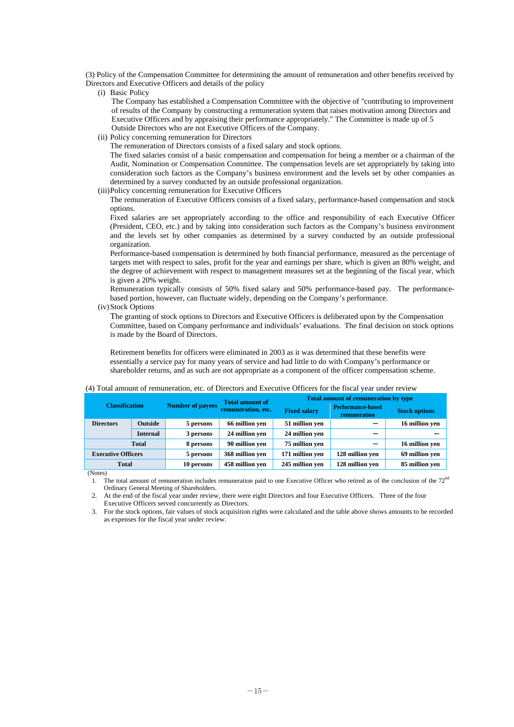(3) Policy of the Compensation Committee for determining the amount of remuneration and other benefits received by Directors and Executive Officers and details of the policy

(i) Basic Policy

The Company has established a Compensation Committee with the objective of "contributing to improvement of results of the Company by constructing a remuneration system that raises motivation among Directors and Executive Officers and by appraising their performance appropriately." The Committee is made up of 5 Outside Directors who are not Executive Officers of the Company.

(ii) Policy concerning remuneration for Directors

The remuneration of Directors consists of a fixed salary and stock options.

The fixed salaries consist of a basic compensation and compensation for being a member or a chairman of the Audit, Nomination or Compensation Committee. The compensation levels are set appropriately by taking into consideration such factors as the Company's business environment and the levels set by other companies as determined by a survey conducted by an outside professional organization.

(iii) Policy concerning remuneration for Executive Officers

The remuneration of Executive Officers consists of a fixed salary, performance-based compensation and stock options.

Fixed salaries are set appropriately according to the office and responsibility of each Executive Officer (President, CEO, etc.) and by taking into consideration such factors as the Company's business environment and the levels set by other companies as determined by a survey conducted by an outside professional organization.

Performance-based compensation is determined by both financial performance, measured as the percentage of targets met with respect to sales, profit for the year and earnings per share, which is given an 80% weight, and the degree of achievement with respect to management measures set at the beginning of the fiscal year, which is given a 20% weight.

Remuneration typically consists of 50% fixed salary and 50% performance-based pay. The performancebased portion, however, can fluctuate widely, depending on the Company's performance.

(iv) Stock Options

The granting of stock options to Directors and Executive Officers is deliberated upon by the Compensation Committee, based on Company performance and individuals' evaluations. The final decision on stock options is made by the Board of Directors.

Retirement benefits for officers were eliminated in 2003 as it was determined that these benefits were essentially a service pay for many years of service and had little to do with Company's performance or shareholder returns, and as such are not appropriate as a component of the officer compensation scheme.

|                           | $\tau$ , Four amount of femanciation, etc. of Dheetons and Executive Officers for the fiscal year ander fevrew |                         |                                              |                     |                                                                                         |                      |
|---------------------------|----------------------------------------------------------------------------------------------------------------|-------------------------|----------------------------------------------|---------------------|-----------------------------------------------------------------------------------------|----------------------|
| <b>Classification</b>     |                                                                                                                | <b>Number of payees</b> | <b>Total amount of</b><br>remuneration, etc. | <b>Fixed salary</b> | <b>Total amount of remuneration by type</b><br><b>Performance-based</b><br>remuneration | <b>Stock options</b> |
| <b>Directors</b>          | <b>Outside</b>                                                                                                 | 5 persons               | 66 million ven                               | 51 million ven      |                                                                                         | 16 million ven       |
|                           | <b>Internal</b>                                                                                                | 3 persons               | 24 million ven                               | 24 million ven      |                                                                                         |                      |
|                           | <b>Total</b>                                                                                                   | 8 persons               | 90 million ven                               | 75 million ven      |                                                                                         | 16 million ven       |
| <b>Executive Officers</b> |                                                                                                                | 5 persons               | 368 million ven                              | 171 million yen     | 128 million ven                                                                         | 69 million ven       |
| <b>Total</b>              |                                                                                                                | 10 persons              | 458 million ven                              | 245 million yen     | 128 million ven                                                                         | 85 million ven       |
| $(\text{Notor})$          |                                                                                                                |                         |                                              |                     |                                                                                         |                      |

#### (4) Total amount of remuneration, etc. of Directors and Executive Officers for the fiscal year under review

(Notes)

1. The total amount of remuneration includes remuneration paid to one Executive Officer who retired as of the conclusion of the  $72<sup>nd</sup>$ Ordinary General Meeting of Shareholders.

2. At the end of the fiscal year under review, there were eight Directors and four Executive Officers. Three of the four Executive Officers served concurrently as Directors.

3. For the stock options, fair values of stock acquisition rights were calculated and the table above shows amounts to be recorded as expenses for the fiscal year under review.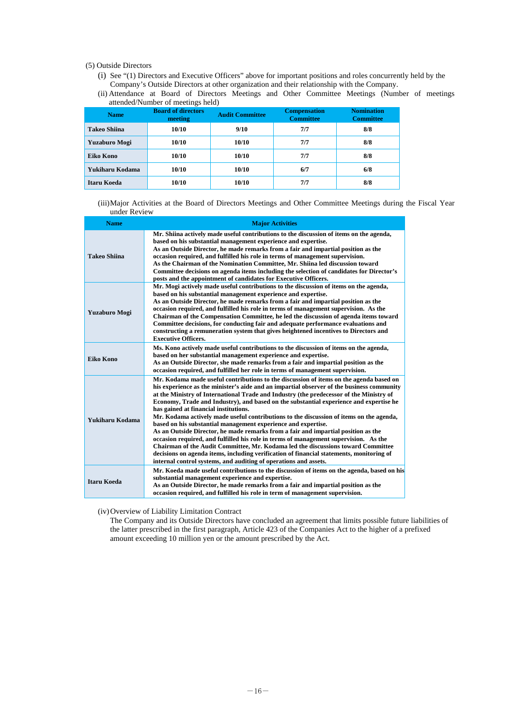(5) Outside Directors

- (i) See "(1) Directors and Executive Officers" above for important positions and roles concurrently held by the Company's Outside Directors at other organization and their relationship with the Company.
- (ii) Attendance at Board of Directors Meetings and Other Committee Meetings (Number of meetings attended/Number of meetings held)

| <b>Name</b>         | <b>Board of directors</b><br>meeting | <b>Audit Committee</b> | <b>Compensation</b><br><b>Committee</b> | <b>Nomination</b><br><b>Committee</b> |
|---------------------|--------------------------------------|------------------------|-----------------------------------------|---------------------------------------|
| <b>Takeo Shiina</b> | 10/10                                | 9/10                   | 7/7                                     | 8/8                                   |
| Yuzaburo Mogi       | 10/10                                | 10/10                  | 7/7                                     | 8/8                                   |
| Eiko Kono           | 10/10                                | 10/10                  | 7/7                                     | 8/8                                   |
| Yukiharu Kodama     | 10/10                                | 10/10                  | 6/7                                     | 6/8                                   |
| <b>Itaru Koeda</b>  | 10/10                                | 10/10                  | 7/7                                     | 8/8                                   |

(iii) Major Activities at the Board of Directors Meetings and Other Committee Meetings during the Fiscal Year under Review

| <b>Name</b>         | <b>Major Activities</b>                                                                                                                                                                                                                                                                                                                                                                                                                                                                                                                                                                                                                                                                                                                                                                                                                                                                                                                                                                                        |
|---------------------|----------------------------------------------------------------------------------------------------------------------------------------------------------------------------------------------------------------------------------------------------------------------------------------------------------------------------------------------------------------------------------------------------------------------------------------------------------------------------------------------------------------------------------------------------------------------------------------------------------------------------------------------------------------------------------------------------------------------------------------------------------------------------------------------------------------------------------------------------------------------------------------------------------------------------------------------------------------------------------------------------------------|
| <b>Takeo Shiina</b> | Mr. Shiina actively made useful contributions to the discussion of items on the agenda,<br>based on his substantial management experience and expertise.<br>As an Outside Director, he made remarks from a fair and impartial position as the<br>occasion required, and fulfilled his role in terms of management supervision.<br>As the Chairman of the Nomination Committee, Mr. Shiina led discussion toward<br>Committee decisions on agenda items including the selection of candidates for Director's<br>posts and the appointment of candidates for Executive Officers.                                                                                                                                                                                                                                                                                                                                                                                                                                 |
| Yuzaburo Mogi       | Mr. Mogi actively made useful contributions to the discussion of items on the agenda,<br>based on his substantial management experience and expertise.<br>As an Outside Director, he made remarks from a fair and impartial position as the<br>occasion required, and fulfilled his role in terms of management supervision. As the<br>Chairman of the Compensation Committee, he led the discussion of agenda items toward<br>Committee decisions, for conducting fair and adequate performance evaluations and<br>constructing a remuneration system that gives heightened incentives to Directors and<br><b>Executive Officers.</b>                                                                                                                                                                                                                                                                                                                                                                         |
| Eiko Kono           | Ms. Kono actively made useful contributions to the discussion of items on the agenda,<br>based on her substantial management experience and expertise.<br>As an Outside Director, she made remarks from a fair and impartial position as the<br>occasion required, and fulfilled her role in terms of management supervision.                                                                                                                                                                                                                                                                                                                                                                                                                                                                                                                                                                                                                                                                                  |
| Yukiharu Kodama     | Mr. Kodama made useful contributions to the discussion of items on the agenda based on<br>his experience as the minister's aide and an impartial observer of the business community<br>at the Ministry of International Trade and Industry (the predecessor of the Ministry of<br>Economy, Trade and Industry), and based on the substantial experience and expertise he<br>has gained at financial institutions.<br>Mr. Kodama actively made useful contributions to the discussion of items on the agenda,<br>based on his substantial management experience and expertise.<br>As an Outside Director, he made remarks from a fair and impartial position as the<br>occasion required, and fulfilled his role in terms of management supervision. As the<br>Chairman of the Audit Committee, Mr. Kodama led the discussions toward Committee<br>decisions on agenda items, including verification of financial statements, monitoring of<br>internal control systems, and auditing of operations and assets. |
| <b>Itaru Koeda</b>  | Mr. Koeda made useful contributions to the discussion of items on the agenda, based on his<br>substantial management experience and expertise.<br>As an Outside Director, he made remarks from a fair and impartial position as the<br>occasion required, and fulfilled his role in term of management supervision.                                                                                                                                                                                                                                                                                                                                                                                                                                                                                                                                                                                                                                                                                            |

(iv) Overview of Liability Limitation Contract

The Company and its Outside Directors have concluded an agreement that limits possible future liabilities of the latter prescribed in the first paragraph, Article 423 of the Companies Act to the higher of a prefixed amount exceeding 10 million yen or the amount prescribed by the Act.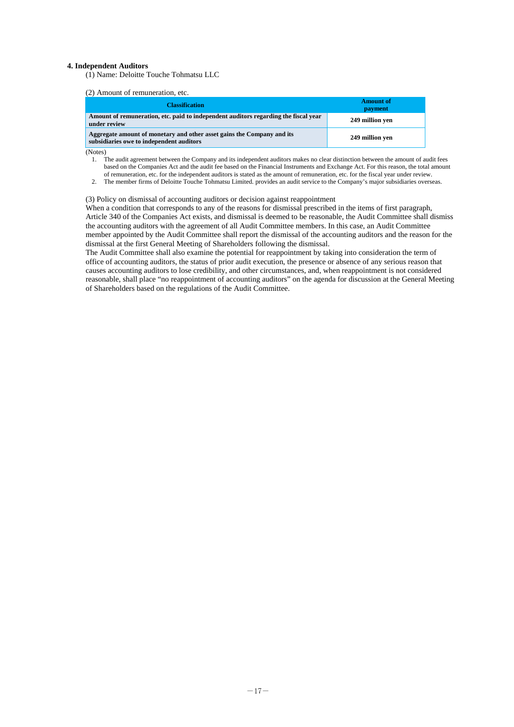#### **4. Independent Auditors**

(1) Name: Deloitte Touche Tohmatsu LLC

## (2) Amount of remuneration, etc.

| <b>Classification</b>                                                                                              | <b>Amount of</b><br>payment |
|--------------------------------------------------------------------------------------------------------------------|-----------------------------|
| Amount of remuneration, etc. paid to independent auditors regarding the fiscal year<br>under review                | 249 million ven             |
| Aggregate amount of monetary and other asset gains the Company and its<br>subsidiaries owe to independent auditors | 249 million ven             |

(Notes)

- 1. The audit agreement between the Company and its independent auditors makes no clear distinction between the amount of audit fees based on the Companies Act and the audit fee based on the Financial Instruments and Exchange Act. For this reason, the total amount of remuneration, etc. for the independent auditors is stated as the amount of remuneration, etc. for the fiscal year under review.
- 2. The member firms of Deloitte Touche Tohmatsu Limited. provides an audit service to the Company's major subsidiaries overseas.

#### (3) Policy on dismissal of accounting auditors or decision against reappointment

When a condition that corresponds to any of the reasons for dismissal prescribed in the items of first paragraph, Article 340 of the Companies Act exists, and dismissal is deemed to be reasonable, the Audit Committee shall dismiss the accounting auditors with the agreement of all Audit Committee members. In this case, an Audit Committee member appointed by the Audit Committee shall report the dismissal of the accounting auditors and the reason for the dismissal at the first General Meeting of Shareholders following the dismissal.

The Audit Committee shall also examine the potential for reappointment by taking into consideration the term of office of accounting auditors, the status of prior audit execution, the presence or absence of any serious reason that causes accounting auditors to lose credibility, and other circumstances, and, when reappointment is not considered reasonable, shall place "no reappointment of accounting auditors" on the agenda for discussion at the General Meeting of Shareholders based on the regulations of the Audit Committee.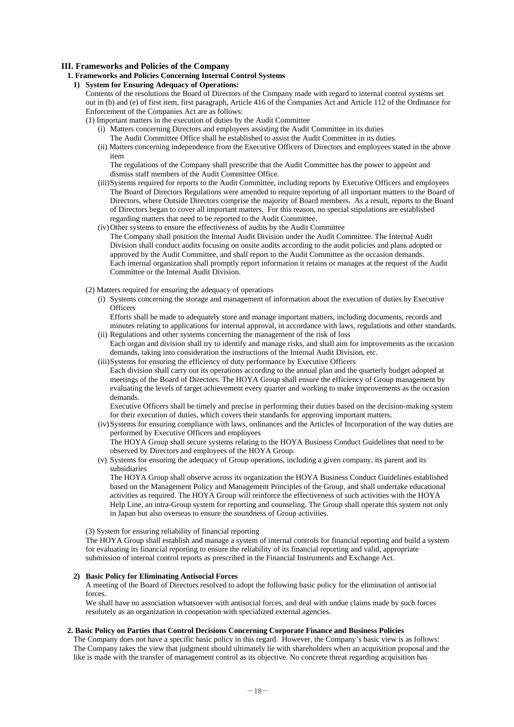## **III. Frameworks and Policies of the Company**

## **1. Frameworks and Policies Concerning Internal Control Systems**

**1) System for Ensuring Adequacy of Operations:** 

Contents of the resolutions the Board of Directors of the Company made with regard to internal control systems set out in (b) and (e) of first item, first paragraph, Article 416 of the Companies Act and Article 112 of the Ordinance for Enforcement of the Companies Act are as follows:

- (1) Important matters in the execution of duties by the Audit Committee
	- (i) Matters concerning Directors and employees assisting the Audit Committee in its duties

The Audit Committee Office shall be established to assist the Audit Committee in its duties.

(ii) Matters concerning independence from the Executive Officers of Directors and employees stated in the above item

The regulations of the Company shall prescribe that the Audit Committee has the power to appoint and dismiss staff members of the Audit Committee Office.

- (iii) Systems required for reports to the Audit Committee, including reports by Executive Officers and employees The Board of Directors Regulations were amended to require reporting of all important matters to the Board of Directors, where Outside Directors comprise the majority of Board members. As a result, reports to the Board of Directors began to cover all important matters. For this reason, no special stipulations are established regarding matters that need to be reported to the Audit Committee.
- (iv) Other systems to ensure the effectiveness of audits by the Audit Committee

The Company shall position the Internal Audit Division under the Audit Committee. The Internal Audit Division shall conduct audits focusing on onsite audits according to the audit policies and plans adopted or approved by the Audit Committee, and shall report to the Audit Committee as the occasion demands. Each internal organization shall promptly report information it retains or manages at the request of the Audit Committee or the Internal Audit Division.

- (2) Matters required for ensuring the adequacy of operations
	- (i) Systems concerning the storage and management of information about the execution of duties by Executive **Officers**

Efforts shall be made to adequately store and manage important matters, including documents, records and minutes relating to applications for internal approval, in accordance with laws, regulations and other standards. (ii) Regulations and other systems concerning the management of the risk of loss

- Each organ and division shall try to identify and manage risks, and shall aim for improvements as the occasion demands, taking into consideration the instructions of the Internal Audit Division, etc.
- (iii) Systems for ensuring the efficiency of duty performance by Executive Officers

Each division shall carry out its operations according to the annual plan and the quarterly budget adopted at meetings of the Board of Directors. The HOYA Group shall ensure the efficiency of Group management by evaluating the levels of target achievement every quarter and working to make improvements as the occasion demands.

Executive Officers shall be timely and precise in performing their duties based on the decision-making system for their execution of duties, which covers their standards for approving important matters.

(iv) Systems for ensuring compliance with laws, ordinances and the Articles of Incorporation of the way duties are performed by Executive Officers and employees The HOYA Group shall secure systems relating to the HOYA Business Conduct Guidelines that need to be

observed by Directors and employees of the HOYA Group.

(v) Systems for ensuring the adequacy of Group operations, including a given company, its parent and its subsidiaries

The HOYA Group shall observe across its organization the HOYA Business Conduct Guidelines established based on the Management Policy and Management Principles of the Group, and shall undertake educational activities as required. The HOYA Group will reinforce the effectiveness of such activities with the HOYA Help Line, an intra-Group system for reporting and counseling. The Group shall operate this system not only in Japan but also overseas to ensure the soundness of Group activities.

(3) System for ensuring reliability of financial reporting

The HOYA Group shall establish and manage a system of internal controls for financial reporting and build a system for evaluating its financial reporting to ensure the reliability of its financial reporting and valid, appropriate submission of internal control reports as prescribed in the Financial Instruments and Exchange Act.

#### **2) Basic Policy for Eliminating Antisocial Forces**

A meeting of the Board of Directors resolved to adopt the following basic policy for the elimination of antisocial forces.

We shall have no association whatsoever with antisocial forces, and deal with undue claims made by such forces resolutely as an organization in cooperation with specialized external agencies.

## **2. Basic Policy on Parties that Control Decisions Concerning Corporate Finance and Business Policies**

The Company does not have a specific basic policy in this regard. However, the Company's basic view is as follows: The Company takes the view that judgment should ultimately lie with shareholders when an acquisition proposal and the like is made with the transfer of management control as its objective. No concrete threat regarding acquisition has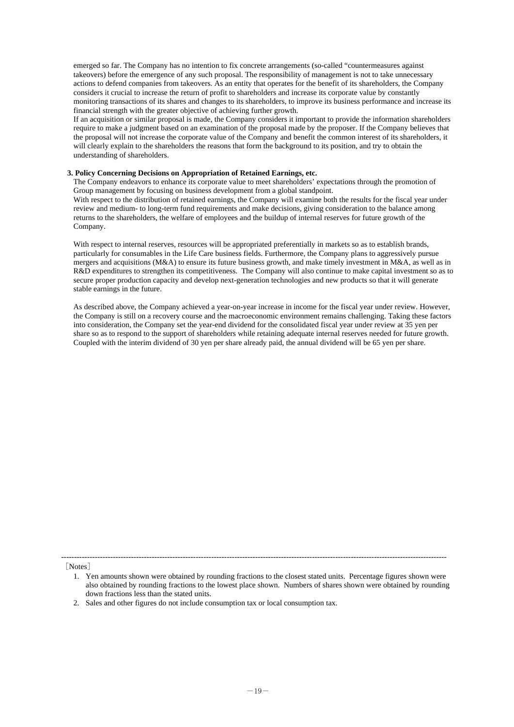emerged so far. The Company has no intention to fix concrete arrangements (so-called "countermeasures against takeovers) before the emergence of any such proposal. The responsibility of management is not to take unnecessary actions to defend companies from takeovers. As an entity that operates for the benefit of its shareholders, the Company considers it crucial to increase the return of profit to shareholders and increase its corporate value by constantly monitoring transactions of its shares and changes to its shareholders, to improve its business performance and increase its financial strength with the greater objective of achieving further growth.

If an acquisition or similar proposal is made, the Company considers it important to provide the information shareholders require to make a judgment based on an examination of the proposal made by the proposer. If the Company believes that the proposal will not increase the corporate value of the Company and benefit the common interest of its shareholders, it will clearly explain to the shareholders the reasons that form the background to its position, and try to obtain the understanding of shareholders.

## **3. Policy Concerning Decisions on Appropriation of Retained Earnings, etc.**

The Company endeavors to enhance its corporate value to meet shareholders' expectations through the promotion of Group management by focusing on business development from a global standpoint.

With respect to the distribution of retained earnings, the Company will examine both the results for the fiscal year under review and medium- to long-term fund requirements and make decisions, giving consideration to the balance among returns to the shareholders, the welfare of employees and the buildup of internal reserves for future growth of the Company.

With respect to internal reserves, resources will be appropriated preferentially in markets so as to establish brands, particularly for consumables in the Life Care business fields. Furthermore, the Company plans to aggressively pursue mergers and acquisitions (M&A) to ensure its future business growth, and make timely investment in M&A, as well as in R&D expenditures to strengthen its competitiveness. The Company will also continue to make capital investment so as to secure proper production capacity and develop next-generation technologies and new products so that it will generate stable earnings in the future.

As described above, the Company achieved a year-on-year increase in income for the fiscal year under review. However, the Company is still on a recovery course and the macroeconomic environment remains challenging. Taking these factors into consideration, the Company set the year-end dividend for the consolidated fiscal year under review at 35 yen per share so as to respond to the support of shareholders while retaining adequate internal reserves needed for future growth. Coupled with the interim dividend of 30 yen per share already paid, the annual dividend will be 65 yen per share.

[Notes]

-----------------------------------------------------------------------------------------------------------------------------------------------------

<sup>1.</sup> Yen amounts shown were obtained by rounding fractions to the closest stated units. Percentage figures shown were also obtained by rounding fractions to the lowest place shown. Numbers of shares shown were obtained by rounding down fractions less than the stated units.

<sup>2.</sup> Sales and other figures do not include consumption tax or local consumption tax.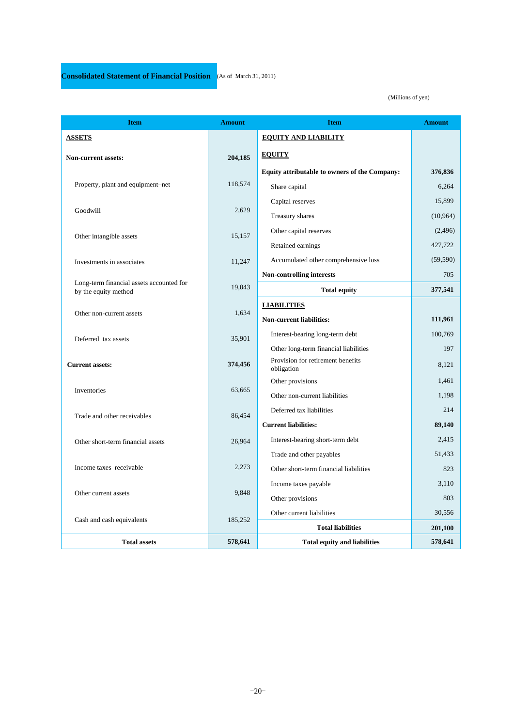l

## (Millions of yen)

| <b>Item</b>                                                      | <b>Amount</b> | <b>Item</b>                                     | <b>Amount</b> |
|------------------------------------------------------------------|---------------|-------------------------------------------------|---------------|
| <b>ASSETS</b>                                                    |               | <b>EQUITY AND LIABILITY</b>                     |               |
| <b>Non-current assets:</b>                                       | 204,185       | <b>EQUITY</b>                                   |               |
|                                                                  |               | Equity attributable to owners of the Company:   | 376,836       |
| Property, plant and equipment-net                                | 118,574       | Share capital                                   | 6.264         |
|                                                                  |               | Capital reserves                                | 15,899        |
| Goodwill                                                         | 2,629         | Treasury shares                                 | (10, 964)     |
| Other intangible assets                                          | 15,157        | Other capital reserves                          | (2, 496)      |
|                                                                  |               | Retained earnings                               | 427,722       |
| Investments in associates                                        | 11,247        | Accumulated other comprehensive loss            | (59, 590)     |
|                                                                  |               | <b>Non-controlling interests</b>                | 705           |
| Long-term financial assets accounted for<br>by the equity method | 19,043        | <b>Total equity</b>                             | 377,541       |
|                                                                  |               | <b>LIABILITIES</b>                              |               |
| Other non-current assets                                         | 1,634         | <b>Non-current liabilities:</b>                 | 111,961       |
| Deferred tax assets                                              | 35,901        | Interest-bearing long-term debt                 | 100,769       |
|                                                                  |               | Other long-term financial liabilities           | 197           |
| <b>Current assets:</b>                                           | 374,456       | Provision for retirement benefits<br>obligation | 8,121         |
|                                                                  |               | Other provisions                                | 1,461         |
| Inventories                                                      | 63,665        | Other non-current liabilities                   | 1,198         |
| Trade and other receivables                                      | 86,454        | Deferred tax liabilities                        | 214           |
|                                                                  |               | <b>Current liabilities:</b>                     | 89,140        |
| Other short-term financial assets                                | 26,964        | Interest-bearing short-term debt                | 2.415         |
|                                                                  |               | Trade and other payables                        | 51,433        |
| Income taxes receivable                                          | 2,273         | Other short-term financial liabilities          | 823           |
|                                                                  |               | Income taxes payable                            | 3,110         |
| Other current assets                                             | 9,848         | Other provisions                                | 803           |
| Cash and cash equivalents                                        | 185,252       | Other current liabilities                       | 30,556        |
|                                                                  |               | <b>Total liabilities</b>                        | 201,100       |
| <b>Total assets</b>                                              | 578,641       | <b>Total equity and liabilities</b>             | 578,641       |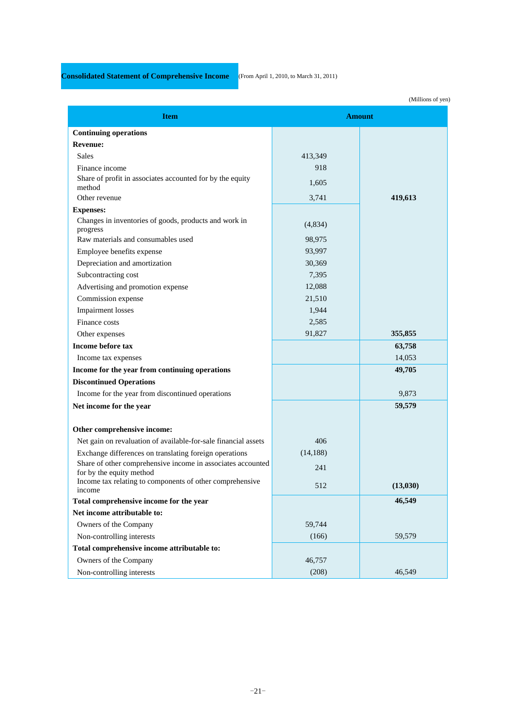# **Consolidated Statement of Comprehensive Income** (From April 1, 2010, to March 31, 2011)

l

L

|                                                                    |           | (Millions of yen |
|--------------------------------------------------------------------|-----------|------------------|
| <b>Item</b>                                                        |           | <b>Amount</b>    |
| <b>Continuing operations</b>                                       |           |                  |
| <b>Revenue:</b>                                                    |           |                  |
| <b>Sales</b>                                                       | 413,349   |                  |
| Finance income                                                     | 918       |                  |
| Share of profit in associates accounted for by the equity          | 1,605     |                  |
| method                                                             |           |                  |
| Other revenue                                                      | 3,741     | 419,613          |
| <b>Expenses:</b>                                                   |           |                  |
| Changes in inventories of goods, products and work in<br>progress  | (4,834)   |                  |
| Raw materials and consumables used                                 | 98,975    |                  |
| Employee benefits expense                                          | 93,997    |                  |
| Depreciation and amortization                                      | 30,369    |                  |
| Subcontracting cost                                                | 7,395     |                  |
| Advertising and promotion expense                                  | 12,088    |                  |
| Commission expense                                                 | 21,510    |                  |
| <b>Impairment</b> losses                                           | 1,944     |                  |
| Finance costs                                                      | 2,585     |                  |
| Other expenses                                                     | 91,827    | 355,855          |
| Income before tax                                                  |           | 63,758           |
| Income tax expenses                                                |           | 14,053           |
| Income for the year from continuing operations                     |           | 49,705           |
| <b>Discontinued Operations</b>                                     |           |                  |
| Income for the year from discontinued operations                   |           | 9,873            |
| Net income for the year                                            |           | 59,579           |
|                                                                    |           |                  |
| Other comprehensive income:                                        |           |                  |
| Net gain on revaluation of available-for-sale financial assets     | 406       |                  |
| Exchange differences on translating foreign operations             | (14, 188) |                  |
| Share of other comprehensive income in associates accounted        | 241       |                  |
| for by the equity method                                           |           |                  |
| Income tax relating to components of other comprehensive<br>income | 512       | (13,030)         |
| Total comprehensive income for the year                            |           | 46,549           |
| Net income attributable to:                                        |           |                  |
| Owners of the Company                                              | 59,744    |                  |
| Non-controlling interests                                          | (166)     | 59,579           |
| Total comprehensive income attributable to:                        |           |                  |
| Owners of the Company                                              | 46,757    |                  |
| Non-controlling interests                                          | (208)     | 46,549           |

(Millions of yen)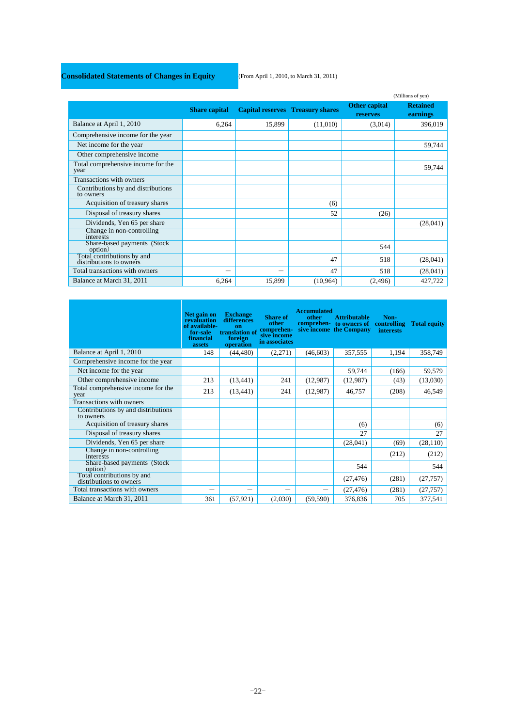## **Consolidated Statements of Changes in Equity** (From April 1, 2010, to March 31, 2011)

l

L

|                                                       |                      |        |                                         |                                  | (Millions of yen)           |
|-------------------------------------------------------|----------------------|--------|-----------------------------------------|----------------------------------|-----------------------------|
|                                                       | <b>Share capital</b> |        | <b>Capital reserves</b> Treasury shares | Other capital<br><b>reserves</b> | <b>Retained</b><br>earnings |
| Balance at April 1, 2010                              | 6,264                | 15,899 | (11,010)                                | (3,014)                          | 396,019                     |
| Comprehensive income for the year                     |                      |        |                                         |                                  |                             |
| Net income for the year                               |                      |        |                                         |                                  | 59,744                      |
| Other comprehensive income                            |                      |        |                                         |                                  |                             |
| Total comprehensive income for the<br>year            |                      |        |                                         |                                  | 59,744                      |
| Transactions with owners                              |                      |        |                                         |                                  |                             |
| Contributions by and distributions<br>to owners       |                      |        |                                         |                                  |                             |
| Acquisition of treasury shares                        |                      |        | (6)                                     |                                  |                             |
| Disposal of treasury shares                           |                      |        | 52                                      | (26)                             |                             |
| Dividends, Yen 65 per share                           |                      |        |                                         |                                  | (28,041)                    |
| Change in non-controlling<br>interests                |                      |        |                                         |                                  |                             |
| Share-based payments (Stock)<br>option)               |                      |        |                                         | 544                              |                             |
| Total contributions by and<br>distributions to owners |                      |        | 47                                      | 518                              | (28,041)                    |
| Total transactions with owners                        |                      | -      | 47                                      | 518                              | (28,041)                    |
| Balance at March 31, 2011                             | 6,264                | 15,899 | (10,964)                                | (2, 496)                         | 427,722                     |

|                                                       | Net gain on<br>revaluation<br>of available-<br>for sale<br>financial<br>assets | <b>Exchange</b><br>differences<br>on<br>translation of<br>foreign<br>operation | <b>Share of</b><br>other<br>comprehen-<br>sive income<br>in associates | <b>Accumulated</b><br>other | <b>Attributable</b><br>comprehen- to owners of controlling<br>sive income the Company | Non-<br><i>interests</i> | <b>Total equity</b> |
|-------------------------------------------------------|--------------------------------------------------------------------------------|--------------------------------------------------------------------------------|------------------------------------------------------------------------|-----------------------------|---------------------------------------------------------------------------------------|--------------------------|---------------------|
| Balance at April 1, 2010                              | 148                                                                            | (44, 480)                                                                      | (2,271)                                                                | (46,603)                    | 357,555                                                                               | 1,194                    | 358,749             |
| Comprehensive income for the year                     |                                                                                |                                                                                |                                                                        |                             |                                                                                       |                          |                     |
| Net income for the year                               |                                                                                |                                                                                |                                                                        |                             | 59,744                                                                                | (166)                    | 59,579              |
| Other comprehensive income                            | 213                                                                            | (13, 441)                                                                      | 241                                                                    | (12,987)                    | (12,987)                                                                              | (43)                     | (13,030)            |
| Total comprehensive income for the<br>year            | 213                                                                            | (13, 441)                                                                      | 241                                                                    | (12,987)                    | 46,757                                                                                | (208)                    | 46,549              |
| Transactions with owners                              |                                                                                |                                                                                |                                                                        |                             |                                                                                       |                          |                     |
| Contributions by and distributions<br>to owners       |                                                                                |                                                                                |                                                                        |                             |                                                                                       |                          |                     |
| Acquisition of treasury shares                        |                                                                                |                                                                                |                                                                        |                             | (6)                                                                                   |                          | (6)                 |
| Disposal of treasury shares                           |                                                                                |                                                                                |                                                                        |                             | 27                                                                                    |                          | 27                  |
| Dividends, Yen 65 per share                           |                                                                                |                                                                                |                                                                        |                             | (28,041)                                                                              | (69)                     | (28, 110)           |
| Change in non-controlling<br>interests                |                                                                                |                                                                                |                                                                        |                             |                                                                                       | (212)                    | (212)               |
| Share-based payments (Stock)<br>option)               |                                                                                |                                                                                |                                                                        |                             | 544                                                                                   |                          | 544                 |
| Total contributions by and<br>distributions to owners |                                                                                |                                                                                |                                                                        |                             | (27, 476)                                                                             | (281)                    | (27, 757)           |
| Total transactions with owners                        | $\overline{\phantom{0}}$                                                       |                                                                                |                                                                        |                             | (27, 476)                                                                             | (281)                    | (27, 757)           |
| Balance at March 31, 2011                             | 361                                                                            | (57, 921)                                                                      | (2,030)                                                                | (59, 590)                   | 376,836                                                                               | 705                      | 377,541             |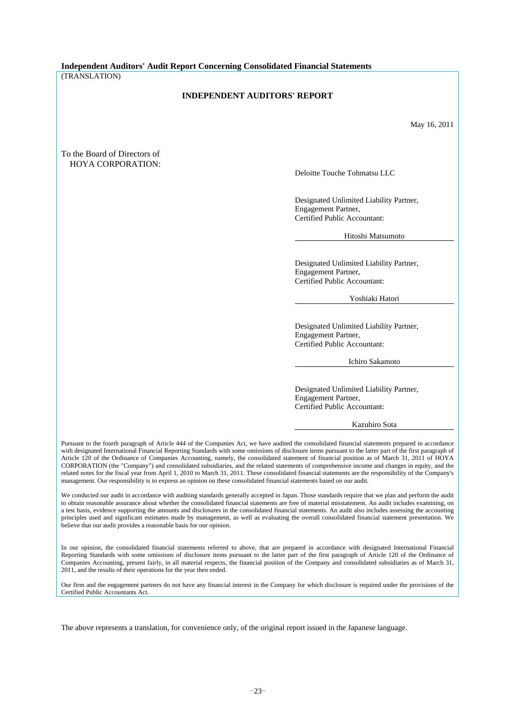**Independent Auditors' Audit Report Concerning Consolidated Financial Statements**  (TRANSLATION)

## **INDEPENDENT AUDITORS' REPORT**

May 16, 2011

## To the Board of Directors of HOYA CORPORATION:

Deloitte Touche Tohmatsu LLC

Designated Unlimited Liability Partner, Engagement Partner, Certified Public Accountant:

Hitoshi Matsumoto

Designated Unlimited Liability Partner, Engagement Partner, Certified Public Accountant:

Yoshiaki Hatori

Designated Unlimited Liability Partner, Engagement Partner, Certified Public Accountant:

Ichiro Sakamoto

Designated Unlimited Liability Partner, Engagement Partner, Certified Public Accountant:

Kazuhiro Sota

Pursuant to the fourth paragraph of Article 444 of the Companies Act, we have audited the consolidated financial statements prepared in accordance with designated International Financial Reporting Standards with some omissions of disclosure items pursuant to the latter part of the first paragraph of Article 120 of the Ordinance of Companies Accounting, namely, the consolidated statement of financial position as of March 31, 2011 of HOYA CORPORATION (the "Company") and consolidated subsidiaries, and the related statements of comprehensive income and changes in equity, and the related notes for the fiscal year from April 1, 2010 to March 31, 2011. These consolidated financial statements are the responsibility of the Company's management. Our responsibility is to express an opinion on these consolidated financial statements based on our audit.

We conducted our audit in accordance with auditing standards generally accepted in Japan. Those standards require that we plan and perform the audit to obtain reasonable assurance about whether the consolidated financial statements are free of material misstatement. An audit includes examining, on a test basis, evidence supporting the amounts and disclosures in the consolidated financial statements. An audit also includes assessing the accounting principles used and significant estimates made by management, as well as evaluating the overall consolidated financial statement presentation. We believe that our audit provides a reasonable basis for our opinion.

In our opinion, the consolidated financial statements referred to above, that are prepared in accordance with designated International Financial Reporting Standards with some omissions of disclosure items pursuant to the latter part of the first paragraph of Article 120 of the Ordinance of Companies Accounting, present fairly, in all material respects, the financial position of the Company and consolidated subsidiaries as of March 31, 2011, and the results of their operations for the year then ended.

Our firm and the engagement partners do not have any financial interest in the Company for which disclosure is required under the provisions of the Certified Public Accountants Act.

The above represents a translation, for convenience only, of the original report issued in the Japanese language.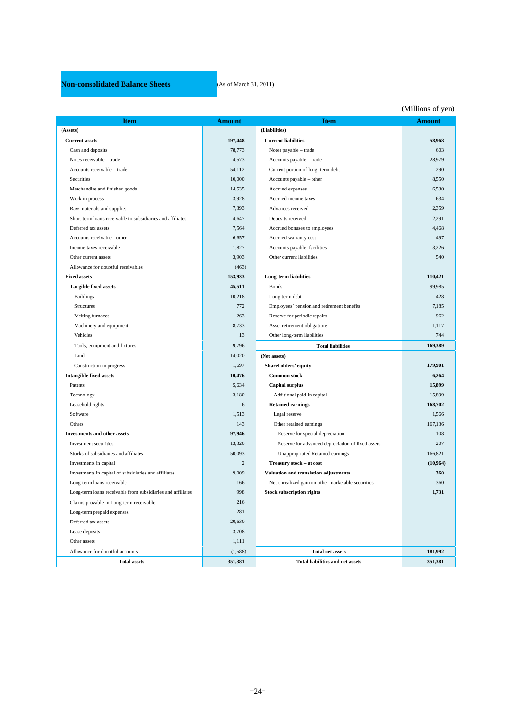## **Non-consolidated Balance Sheets** (As of March 31, 2011)

L

|                                                             |                |                                                    | (Millions of yen) |
|-------------------------------------------------------------|----------------|----------------------------------------------------|-------------------|
| Item                                                        | <b>Amount</b>  | <b>Item</b>                                        | <b>Amount</b>     |
| (Assets)                                                    |                | (Liabilities)                                      |                   |
| <b>Current assets</b>                                       | 197,448        | <b>Current liabilities</b>                         | 58,968            |
| Cash and deposits                                           | 78,773         | Notes payable - trade                              | 603               |
| Notes receivable - trade                                    | 4,573          | Accounts payable - trade                           | 28,979            |
| Accounts receivable - trade                                 | 54,112         | Current portion of long-term debt                  | 290               |
| Securities                                                  | 10,000         | Accounts payable - other                           | 8,550             |
| Merchandise and finished goods                              | 14,535         | Accrued expenses                                   | 6,530             |
| Work in process                                             | 3,928          | Accrued income taxes                               | 634               |
| Raw materials and supplies                                  | 7,393          | Advances received                                  | 2,359             |
| Short-term loans receivable to subsidiaries and affiliates  | 4,647          | Deposits received                                  | 2,291             |
| Deferred tax assets                                         | 7,564          | Accrued bonuses to employees                       | 4,468             |
| Accounts receivable - other                                 | 6,657          | Accrued warranty cost                              | 497               |
| Income taxes receivable                                     | 1,827          | Accounts payable-facilities                        | 3,226             |
| Other current assets                                        | 3,903          | Other current liabilities                          | 540               |
| Allowance for doubtful receivables                          | (463)          |                                                    |                   |
| <b>Fixed assets</b>                                         | 153,933        | <b>Long-term liabilities</b>                       | 110,421           |
| <b>Tangible fixed assets</b>                                | 45,511         | <b>Bonds</b>                                       | 99,985            |
| <b>Buildings</b>                                            | 10,218         | Long-term debt                                     | 428               |
| Structures                                                  | 772            | Employees' pension and retirement benefits         | 7,185             |
| Melting furnaces                                            | 263            | Reserve for periodic repairs                       | 962               |
| Machinery and equipment                                     | 8,733          | Asset retirement obligations                       | 1,117             |
| Vehicles                                                    | 13             | Other long-term liabilities                        | 744               |
| Tools, equipment and fixtures                               | 9,796          | <b>Total liabilities</b>                           | 169,389           |
| Land                                                        | 14,020         | (Net assets)                                       |                   |
| Construction in progress                                    | 1,697          | Shareholders' equity:                              | 179,901           |
| <b>Intangible fixed assets</b>                              | 10,476         | <b>Common stock</b>                                | 6,264             |
| Patents                                                     | 5,634          | <b>Capital surplus</b>                             | 15,899            |
| Technology                                                  | 3,180          | Additional paid-in capital                         | 15,899            |
| Leasehold rights                                            | 6              | <b>Retained earnings</b>                           | 168,702           |
| Software                                                    | 1,513          | Legal reserve                                      | 1,566             |
| Others                                                      | 143            | Other retained earnings                            | 167,136           |
| <b>Investments and other assets</b>                         | 97,946         | Reserve for special depreciation                   | 108               |
| Investment securities                                       | 13,320         | Reserve for advanced depreciation of fixed assets  | 207               |
| Stocks of subsidiaries and affiliates                       | 50,093         | Unappropriated Retained earnings                   | 166,821           |
| Investments in capital                                      | $\overline{2}$ | Treasury stock - at cost                           | (10,964)          |
| Investments in capital of subsidiaries and affiliates       | 9,009          | Valuation and translation adjustments              | 360               |
| Long-term loans receivable                                  | 166            | Net unrealized gain on other marketable securities | 360               |
| Long-term loans receivable from subsidiaries and affiliates | 998            | <b>Stock subscription rights</b>                   | 1,731             |
| Claims provable in Long-term receivable                     | 216            |                                                    |                   |
| Long-term prepaid expenses                                  | 281            |                                                    |                   |
| Deferred tax assets                                         | 20,630         |                                                    |                   |
| Lease deposits                                              | 3,708          |                                                    |                   |
| Other assets                                                | 1,111          |                                                    |                   |
| Allowance for doubtful accounts                             | (1,588)        | <b>Total net assets</b>                            | 181,992           |
| <b>Total assets</b>                                         | 351,381        | <b>Total liabilities and net assets</b>            | 351,381           |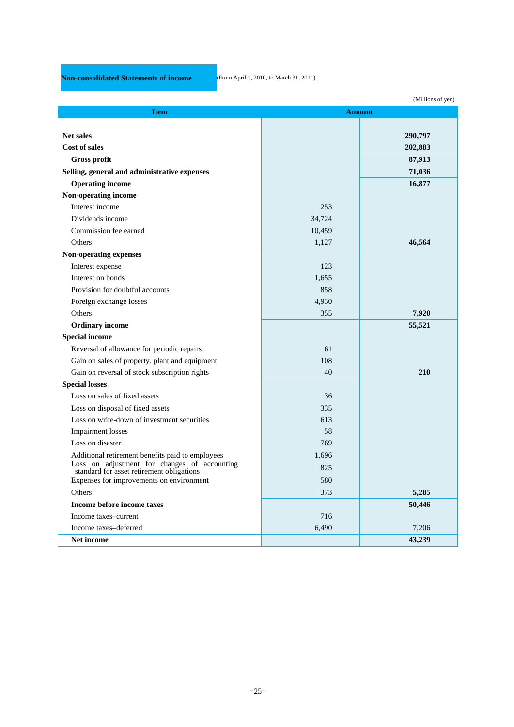# **Non-consolidated Statements of income** (From April 1, 2010, to March 31, 2011)

l

|                                                                                        |        | (Millions of yen) |  |
|----------------------------------------------------------------------------------------|--------|-------------------|--|
| <b>Amount</b><br><b>Item</b>                                                           |        |                   |  |
|                                                                                        |        |                   |  |
| <b>Net sales</b>                                                                       |        | 290,797           |  |
| Cost of sales                                                                          |        | 202,883           |  |
| <b>Gross profit</b>                                                                    |        | 87,913            |  |
| Selling, general and administrative expenses                                           |        | 71,036            |  |
| <b>Operating income</b>                                                                |        | 16,877            |  |
| Non-operating income                                                                   |        |                   |  |
| Interest income                                                                        | 253    |                   |  |
| Dividends income                                                                       | 34,724 |                   |  |
| Commission fee earned                                                                  | 10,459 |                   |  |
| Others                                                                                 | 1,127  | 46,564            |  |
| <b>Non-operating expenses</b>                                                          |        |                   |  |
| Interest expense                                                                       | 123    |                   |  |
| Interest on bonds                                                                      | 1,655  |                   |  |
| Provision for doubtful accounts                                                        | 858    |                   |  |
| Foreign exchange losses                                                                | 4,930  |                   |  |
| Others                                                                                 | 355    | 7,920             |  |
| <b>Ordinary income</b>                                                                 |        | 55,521            |  |
| <b>Special income</b>                                                                  |        |                   |  |
| Reversal of allowance for periodic repairs                                             | 61     |                   |  |
| Gain on sales of property, plant and equipment                                         | 108    |                   |  |
| Gain on reversal of stock subscription rights                                          | 40     | 210               |  |
| <b>Special losses</b>                                                                  |        |                   |  |
| Loss on sales of fixed assets                                                          | 36     |                   |  |
| Loss on disposal of fixed assets                                                       | 335    |                   |  |
| Loss on write-down of investment securities                                            | 613    |                   |  |
| <b>Impairment</b> losses                                                               | 58     |                   |  |
| Loss on disaster                                                                       | 769    |                   |  |
| Additional retirement benefits paid to employees                                       | 1,696  |                   |  |
| Loss on adjustment for changes of accounting standard for asset retirement obligations | 825    |                   |  |
| Expenses for improvements on environment                                               | 580    |                   |  |
| Others                                                                                 | 373    | 5,285             |  |
| Income before income taxes                                                             |        | 50,446            |  |
| Income taxes-current                                                                   | 716    |                   |  |
| Income taxes-deferred                                                                  | 6,490  | 7,206             |  |
| Net income                                                                             |        | 43,239            |  |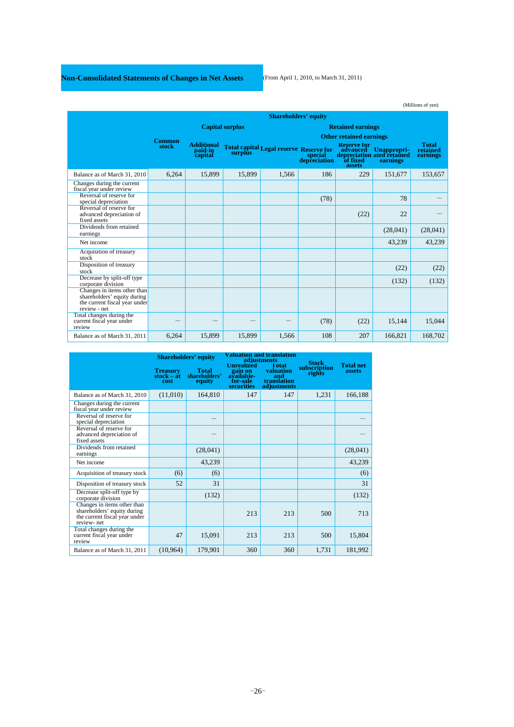# **Non-Consolidated Statements of Changes in Net Assets** (From April 1, 2010, to March 31, 2011)

|                                                                                                             |               |                                         |                        |                                                |                         |                                          |                                                                | (Millions of yen)                    |
|-------------------------------------------------------------------------------------------------------------|---------------|-----------------------------------------|------------------------|------------------------------------------------|-------------------------|------------------------------------------|----------------------------------------------------------------|--------------------------------------|
|                                                                                                             |               |                                         |                        | <b>Shareholders' equity</b>                    |                         |                                          |                                                                |                                      |
|                                                                                                             |               |                                         | <b>Capital surplus</b> |                                                |                         | <b>Retained earnings</b>                 |                                                                |                                      |
|                                                                                                             | <b>Common</b> |                                         |                        |                                                |                         | <b>Other retained earnings</b>           |                                                                |                                      |
|                                                                                                             | stock         | <b>Additional</b><br>paid-in<br>capital | surplus                | <b>Total capital Legal reserve Reserve for</b> | special<br>depreciation | <b>Reserve for</b><br>of fixed<br>assets | advanced Unappropri-<br>depreciation ated retained<br>earnings | <b>Total</b><br>retained<br>earnings |
| Balance as of March 31, 2010                                                                                | 6,264         | 15,899                                  | 15,899                 | 1.566                                          | 186                     | 229                                      | 151,677                                                        | 153,657                              |
| Changes during the current<br>fiscal year under review                                                      |               |                                         |                        |                                                |                         |                                          |                                                                |                                      |
| Reversal of reserve for<br>special depreciation                                                             |               |                                         |                        |                                                | (78)                    |                                          | 78                                                             |                                      |
| Reversal of reserve for<br>advanced depreciation of<br>fixed assets                                         |               |                                         |                        |                                                |                         | (22)                                     | 22                                                             |                                      |
| Dividends from retained<br>earnings                                                                         |               |                                         |                        |                                                |                         |                                          | (28,041)                                                       | (28,041)                             |
| Net income                                                                                                  |               |                                         |                        |                                                |                         |                                          | 43,239                                                         | 43,239                               |
| Acquisition of treasury<br>stock                                                                            |               |                                         |                        |                                                |                         |                                          |                                                                |                                      |
| Disposition of treasury<br>stock                                                                            |               |                                         |                        |                                                |                         |                                          | (22)                                                           | (22)                                 |
| Decrease by split-off type<br>corporate division                                                            |               |                                         |                        |                                                |                         |                                          | (132)                                                          | (132)                                |
| Changes in items other than<br>shareholders' equity during<br>the current fiscal year under<br>review - net |               |                                         |                        |                                                |                         |                                          |                                                                |                                      |
| Total changes during the<br>current fiscal year under<br>review                                             |               |                                         |                        |                                                | (78)                    | (22)                                     | 15,144                                                         | 15,044                               |
| Balance as of March 31, 2011                                                                                | 6,264         | 15,899                                  | 15,899                 | 1,566                                          | 108                     | 207                                      | 166,821                                                        | 168,702                              |

|                                                                                                           | <b>Shareholders' equity</b>    |                                         |                                                                      | <b>Valuation and translation</b><br>adjustments         | <b>Stock</b>           |                            |
|-----------------------------------------------------------------------------------------------------------|--------------------------------|-----------------------------------------|----------------------------------------------------------------------|---------------------------------------------------------|------------------------|----------------------------|
|                                                                                                           | Treasury<br>stock – at<br>cost | <b>Total</b><br>shareholders'<br>equity | <b>Unrealized</b><br>gain on<br>available-<br>for-sale<br>securities | Total<br>valuation<br>and<br>translation<br>adjustments | subscription<br>rights | <b>Total net</b><br>assets |
| Balance as of March 31, 2010                                                                              | (11,010)                       | 164,810                                 | 147                                                                  | 147                                                     | 1,231                  | 166,188                    |
| Changes during the current<br>fiscal year under review                                                    |                                |                                         |                                                                      |                                                         |                        |                            |
| Reversal of reserve for<br>special depreciation                                                           |                                |                                         |                                                                      |                                                         |                        |                            |
| Reversal of reserve for<br>advanced depreciation of<br>fixed assets                                       |                                |                                         |                                                                      |                                                         |                        |                            |
| Dividends from retained<br>earnings                                                                       |                                | (28,041)                                |                                                                      |                                                         |                        | (28,041)                   |
| Net income                                                                                                |                                | 43,239                                  |                                                                      |                                                         |                        | 43,239                     |
| Acquisition of treasury stock                                                                             | (6)                            | (6)                                     |                                                                      |                                                         |                        | (6)                        |
| Disposition of treasury stock                                                                             | 52                             | 31                                      |                                                                      |                                                         |                        | 31                         |
| Decrease split-off type by<br>corporate division                                                          |                                | (132)                                   |                                                                      |                                                         |                        | (132)                      |
| Changes in items other than<br>shareholders' equity during<br>the current fiscal year under<br>review-net |                                |                                         | 213                                                                  | 213                                                     | 500                    | 713                        |
| Total changes during the<br>current fiscal year under<br>review                                           | 47                             | 15,091                                  | 213                                                                  | 213                                                     | 500                    | 15,804                     |
| Balance as of March 31, 2011                                                                              | (10, 964)                      | 179,901                                 | 360                                                                  | 360                                                     | 1,731                  | 181,992                    |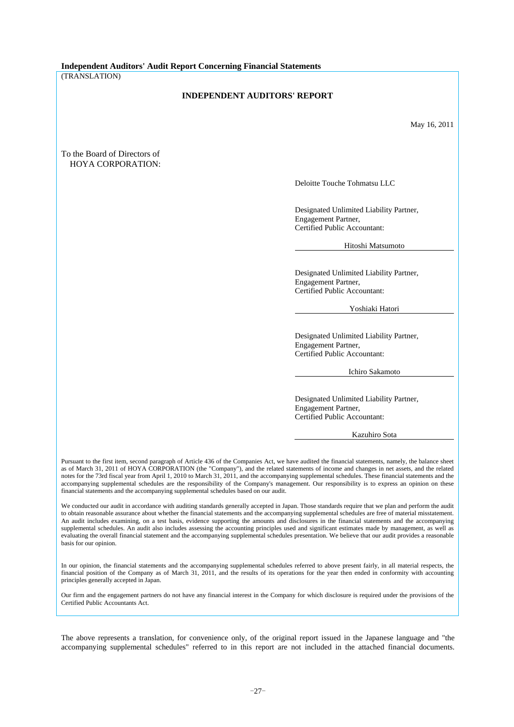**Independent Auditors' Audit Report Concerning Financial Statements** 

(TRANSLATION)

## **INDEPENDENT AUDITORS' REPORT**

May 16, 2011

## To the Board of Directors of HOYA CORPORATION:

Deloitte Touche Tohmatsu LLC

Designated Unlimited Liability Partner, Engagement Partner, Certified Public Accountant:

Hitoshi Matsumoto

Designated Unlimited Liability Partner, Engagement Partner, Certified Public Accountant:

Yoshiaki Hatori

Designated Unlimited Liability Partner, Engagement Partner, Certified Public Accountant:

Ichiro Sakamoto

Designated Unlimited Liability Partner, Engagement Partner, Certified Public Accountant:

Kazuhiro Sota

Pursuant to the first item, second paragraph of Article 436 of the Companies Act, we have audited the financial statements, namely, the balance sheet as of March 31, 2011 of HOYA CORPORATION (the "Company"), and the related statements of income and changes in net assets, and the related notes for the 73rd fiscal year from April 1, 2010 to March 31, 2011, and the accompanying supplemental schedules. These financial statements and the accompanying supplemental schedules are the responsibility of the Company's management. Our responsibility is to express an opinion on these financial statements and the accompanying supplemental schedules based on our audit.

We conducted our audit in accordance with auditing standards generally accepted in Japan. Those standards require that we plan and perform the audit to obtain reasonable assurance about whether the financial statements and the accompanying supplemental schedules are free of material misstatement. An audit includes examining, on a test basis, evidence supporting the amounts and disclosures in the financial statements and the accompanying supplemental schedules. An audit also includes assessing the accounting principles used and significant estimates made by management, as well as evaluating the overall financial statement and the accompanying supplemental schedules presentation. We believe that our audit provides a reasonable basis for our opinion.

In our opinion, the financial statements and the accompanying supplemental schedules referred to above present fairly, in all material respects, the financial position of the Company as of March 31, 2011, and the results of its operations for the year then ended in conformity with accounting principles generally accepted in Japan.

Our firm and the engagement partners do not have any financial interest in the Company for which disclosure is required under the provisions of the Certified Public Accountants Act.

The above represents a translation, for convenience only, of the original report issued in the Japanese language and "the accompanying supplemental schedules" referred to in this report are not included in the attached financial documents.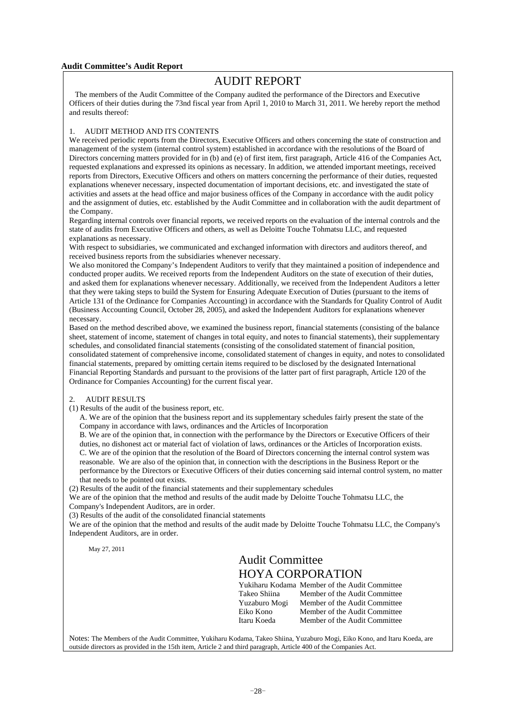## **Audit Committee's Audit Report**

# AUDIT REPORT

 The members of the Audit Committee of the Company audited the performance of the Directors and Executive Officers of their duties during the 73nd fiscal year from April 1, 2010 to March 31, 2011. We hereby report the method and results thereof:

## 1. AUDIT METHOD AND ITS CONTENTS

We received periodic reports from the Directors, Executive Officers and others concerning the state of construction and management of the system (internal control system) established in accordance with the resolutions of the Board of Directors concerning matters provided for in (b) and (e) of first item, first paragraph, Article 416 of the Companies Act, requested explanations and expressed its opinions as necessary. In addition, we attended important meetings, received reports from Directors, Executive Officers and others on matters concerning the performance of their duties, requested explanations whenever necessary, inspected documentation of important decisions, etc. and investigated the state of activities and assets at the head office and major business offices of the Company in accordance with the audit policy and the assignment of duties, etc. established by the Audit Committee and in collaboration with the audit department of the Company.

Regarding internal controls over financial reports, we received reports on the evaluation of the internal controls and the state of audits from Executive Officers and others, as well as Deloitte Touche Tohmatsu LLC, and requested explanations as necessary.

With respect to subsidiaries, we communicated and exchanged information with directors and auditors thereof, and received business reports from the subsidiaries whenever necessary.

We also monitored the Company's Independent Auditors to verify that they maintained a position of independence and conducted proper audits. We received reports from the Independent Auditors on the state of execution of their duties, and asked them for explanations whenever necessary. Additionally, we received from the Independent Auditors a letter that they were taking steps to build the System for Ensuring Adequate Execution of Duties (pursuant to the items of Article 131 of the Ordinance for Companies Accounting) in accordance with the Standards for Quality Control of Audit (Business Accounting Council, October 28, 2005), and asked the Independent Auditors for explanations whenever necessary.

Based on the method described above, we examined the business report, financial statements (consisting of the balance sheet, statement of income, statement of changes in total equity, and notes to financial statements), their supplementary schedules, and consolidated financial statements (consisting of the consolidated statement of financial position, consolidated statement of comprehensive income, consolidated statement of changes in equity, and notes to consolidated financial statements, prepared by omitting certain items required to be disclosed by the designated International Financial Reporting Standards and pursuant to the provisions of the latter part of first paragraph, Article 120 of the Ordinance for Companies Accounting) for the current fiscal year.

## 2. AUDIT RESULTS

(1) Results of the audit of the business report, etc.

A. We are of the opinion that the business report and its supplementary schedules fairly present the state of the Company in accordance with laws, ordinances and the Articles of Incorporation

B. We are of the opinion that, in connection with the performance by the Directors or Executive Officers of their duties, no dishonest act or material fact of violation of laws, ordinances or the Articles of Incorporation exists. C. We are of the opinion that the resolution of the Board of Directors concerning the internal control system was reasonable. We are also of the opinion that, in connection with the descriptions in the Business Report or the performance by the Directors or Executive Officers of their duties concerning said internal control system, no matter that needs to be pointed out exists.

(2) Results of the audit of the financial statements and their supplementary schedules

We are of the opinion that the method and results of the audit made by Deloitte Touche Tohmatsu LLC, the Company's Independent Auditors, are in order.

(3) Results of the audit of the consolidated financial statements

We are of the opinion that the method and results of the audit made by Deloitte Touche Tohmatsu LLC, the Company's Independent Auditors, are in order.

May 27, 2011

# Audit Committee HOYA CORPORATION

|               | Yukiharu Kodama Member of the Audit Committee |
|---------------|-----------------------------------------------|
| Takeo Shiina  | Member of the Audit Committee                 |
| Yuzaburo Mogi | Member of the Audit Committee                 |
| Eiko Kono     | Member of the Audit Committee                 |
| Itaru Koeda   | Member of the Audit Committee                 |

Notes: The Members of the Audit Committee, Yukiharu Kodama, Takeo Shiina, Yuzaburo Mogi, Eiko Kono, and Itaru Koeda, are outside directors as provided in the 15th item, Article 2 and third paragraph, Article 400 of the Companies Act.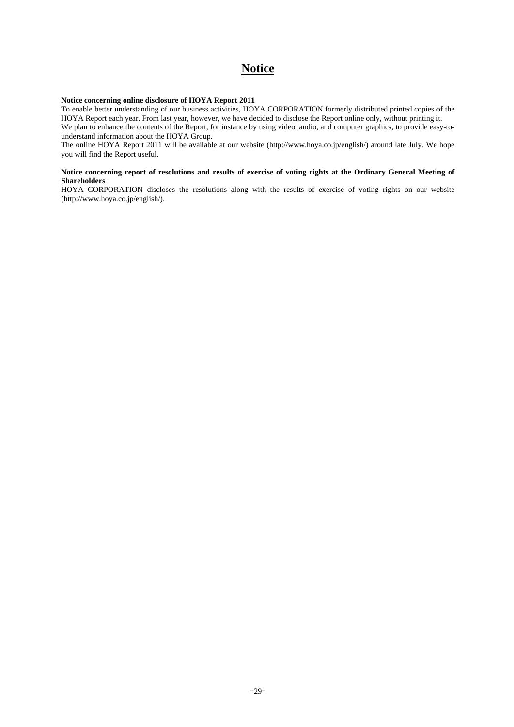# **Notice**

## **Notice concerning online disclosure of HOYA Report 2011**

To enable better understanding of our business activities, HOYA CORPORATION formerly distributed printed copies of the HOYA Report each year. From last year, however, we have decided to disclose the Report online only, without printing it. We plan to enhance the contents of the Report, for instance by using video, audio, and computer graphics, to provide easy-tounderstand information about the HOYA Group.

The online HOYA Report 2011 will be available at our website (http://www.hoya.co.jp/english/) around late July. We hope you will find the Report useful.

## **Notice concerning report of resolutions and results of exercise of voting rights at the Ordinary General Meeting of Shareholders**

HOYA CORPORATION discloses the resolutions along with the results of exercise of voting rights on our website (http://www.hoya.co.jp/english/).